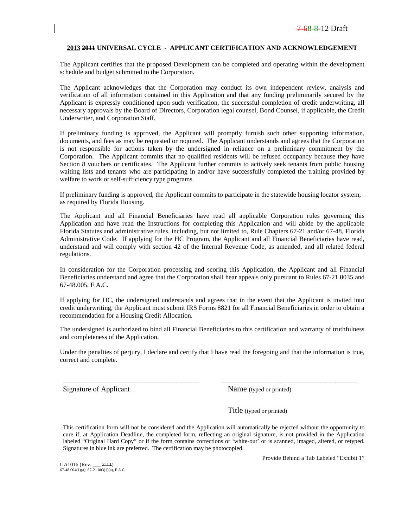#### **2013 2011 UNIVERSAL CYCLE - APPLICANT CERTIFICATION AND ACKNOWLEDGEMENT**

The Applicant certifies that the proposed Development can be completed and operating within the development schedule and budget submitted to the Corporation.

The Applicant acknowledges that the Corporation may conduct its own independent review, analysis and verification of all information contained in this Application and that any funding preliminarily secured by the Applicant is expressly conditioned upon such verification, the successful completion of credit underwriting, all necessary approvals by the Board of Directors, Corporation legal counsel, Bond Counsel, if applicable, the Credit Underwriter, and Corporation Staff.

If preliminary funding is approved, the Applicant will promptly furnish such other supporting information, documents, and fees as may be requested or required. The Applicant understands and agrees that the Corporation is not responsible for actions taken by the undersigned in reliance on a preliminary commitment by the Corporation. The Applicant commits that no qualified residents will be refused occupancy because they have Section 8 vouchers or certificates. The Applicant further commits to actively seek tenants from public housing waiting lists and tenants who are participating in and/or have successfully completed the training provided by welfare to work or self-sufficiency type programs.

If preliminary funding is approved, the Applicant commits to participate in the statewide housing locator system, as required by Florida Housing.

The Applicant and all Financial Beneficiaries have read all applicable Corporation rules governing this Application and have read the Instructions for completing this Application and will abide by the applicable Florida Statutes and administrative rules, including, but not limited to, Rule Chapters 67-21 and/or 67-48, Florida Administrative Code. If applying for the HC Program, the Applicant and all Financial Beneficiaries have read, understand and will comply with section 42 of the Internal Revenue Code, as amended, and all related federal regulations.

In consideration for the Corporation processing and scoring this Application, the Applicant and all Financial Beneficiaries understand and agree that the Corporation shall hear appeals only pursuant to Rules 67-21.0035 and 67-48.005, F.A.C.

If applying for HC, the undersigned understands and agrees that in the event that the Applicant is invited into credit underwriting, the Applicant must submit IRS Forms 8821 for all Financial Beneficiaries in order to obtain a recommendation for a Housing Credit Allocation.

The undersigned is authorized to bind all Financial Beneficiaries to this certification and warranty of truthfulness and completeness of the Application.

Under the penalties of perjury, I declare and certify that I have read the foregoing and that the information is true, correct and complete.

\_\_\_\_\_\_\_\_\_\_\_\_\_\_\_\_\_\_\_\_\_\_\_\_\_\_\_\_\_\_\_\_\_\_\_\_\_ \_\_\_\_\_\_\_\_\_\_\_\_\_\_\_\_\_\_\_\_\_\_\_\_\_\_\_\_\_\_\_\_\_\_\_\_\_

Signature of Applicant Name (typed or printed)

Title (typed or printed)

This certification form will not be considered and the Application will automatically be rejected without the opportunity to cure if, at Application Deadline, the completed form, reflecting an original signature, is not provided in the Application labeled "Original Hard Copy" or if the form contains corrections or 'white-out' or is scanned, imaged, altered, or retyped. Signatures in blue ink are preferred. The certification may be photocopied.

UA1016 (Rev. \_\_\_ <del>2-11</del>)<br>67-48.004(1)(a); 67-21.003(1)(a), F.A.C.

Provide Behind a Tab Labeled "Exhibit 1"

\_\_\_\_\_\_\_\_\_\_\_\_\_\_\_\_\_\_\_\_\_\_\_\_\_\_\_\_\_\_\_\_\_\_\_\_\_\_\_\_\_\_\_\_\_\_\_\_\_\_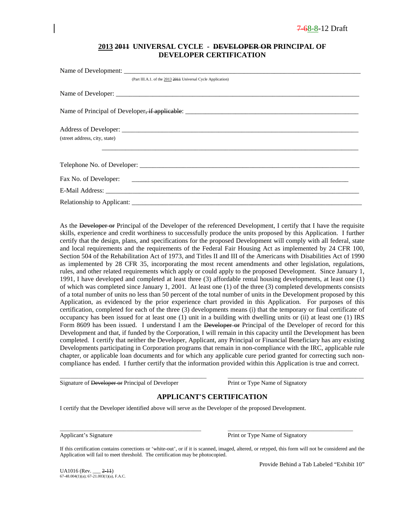### **2013 2011 UNIVERSAL CYCLE - DEVELOPER OR PRINCIPAL OF DEVELOPER CERTIFICATION**

| (Part III.A.1. of the 2013 2014 Universal Cycle Application) |
|--------------------------------------------------------------|
|                                                              |
|                                                              |
|                                                              |
| (street address, city, state)                                |
|                                                              |
|                                                              |
|                                                              |
|                                                              |

As the Developer or Principal of the Developer of the referenced Development, I certify that I have the requisite skills, experience and credit worthiness to successfully produce the units proposed by this Application. I further certify that the design, plans, and specifications for the proposed Development will comply with all federal, state and local requirements and the requirements of the Federal Fair Housing Act as implemented by 24 CFR 100, Section 504 of the Rehabilitation Act of 1973, and Titles II and III of the Americans with Disabilities Act of 1990 as implemented by 28 CFR 35, incorporating the most recent amendments and other legislation, regulations, rules, and other related requirements which apply or could apply to the proposed Development. Since January 1, 1991, I have developed and completed at least three (3) affordable rental housing developments, at least one (1) of which was completed since January 1, 2001. At least one (1) of the three (3) completed developments consists of a total number of units no less than 50 percent of the total number of units in the Development proposed by this Application, as evidenced by the prior experience chart provided in this Application. For purposes of this certification, completed for each of the three (3) developments means (i) that the temporary or final certificate of occupancy has been issued for at least one (1) unit in a building with dwelling units or (ii) at least one (1) IRS Form 8609 has been issued. I understand I am the Developer or Principal of the Developer of record for this Development and that, if funded by the Corporation, I will remain in this capacity until the Development has been completed. I certify that neither the Developer, Applicant, any Principal or Financial Beneficiary has any existing Developments participating in Corporation programs that remain in non-compliance with the IRC, applicable rule chapter, or applicable loan documents and for which any applicable cure period granted for correcting such noncompliance has ended. I further certify that the information provided within this Application is true and correct.

Signature of Developer or Principal of Developer Print or Type Name of Signatory

### **APPLICANT'S CERTIFICATION**

\_\_\_\_\_\_\_\_\_\_\_\_\_\_\_\_\_\_\_\_\_\_\_\_\_\_\_\_\_\_\_\_\_\_\_\_\_\_\_\_\_\_\_\_\_\_\_\_\_\_\_\_\_\_\_ \_\_\_\_\_\_\_\_\_\_\_\_\_\_\_\_\_\_\_\_\_\_\_\_\_\_\_\_\_\_\_\_\_\_\_\_\_\_\_\_\_\_\_\_\_\_\_\_\_\_\_

I certify that the Developer identified above will serve as the Developer of the proposed Development.

\_\_\_\_\_\_\_\_\_\_\_\_\_\_\_\_\_\_\_\_\_\_\_\_\_\_\_\_\_\_\_\_\_\_\_\_\_\_\_\_\_\_\_\_\_\_\_\_\_\_\_\_\_ \_\_\_\_\_\_\_\_\_\_\_\_\_\_\_\_\_\_\_\_\_\_\_\_\_\_\_\_\_\_\_\_\_\_\_\_\_\_\_\_\_\_\_\_\_\_\_ Applicant's Signature **Print or Type Name of Signatory** Print or Type Name of Signatory

If this certification contains corrections or 'white-out', or if it is scanned, imaged, altered, or retyped, this form will not be considered and the Application will fail to meet threshold. The certification may be photocopied.

 $UA1016$  (Rev.  $2-11$ ) 67-48.004(1)(a); 67-21.003(1)(a), F.A.C. Provide Behind a Tab Labeled "Exhibit 10"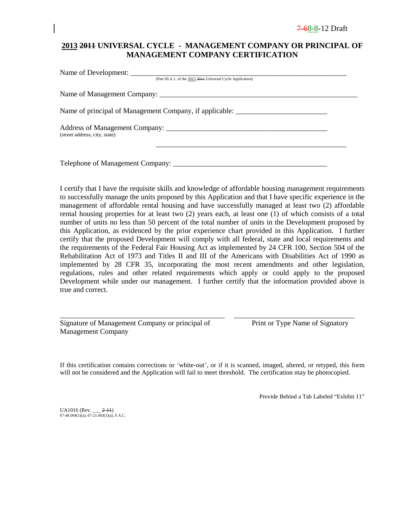# **2013 2011 UNIVERSAL CYCLE - MANAGEMENT COMPANY OR PRINCIPAL OF MANAGEMENT COMPANY CERTIFICATION**

| (Part III.A.1. of the 2013 2014 Universal Cycle Application) |  |
|--------------------------------------------------------------|--|
|                                                              |  |
| Name of principal of Management Company, if applicable:      |  |
| (street address, city, state)                                |  |
| Telephone of Management Company:                             |  |

I certify that I have the requisite skills and knowledge of affordable housing management requirements to successfully manage the units proposed by this Application and that I have specific experience in the management of affordable rental housing and have successfully managed at least two (2) affordable rental housing properties for at least two (2) years each, at least one (1) of which consists of a total number of units no less than 50 percent of the total number of units in the Development proposed by this Application, as evidenced by the prior experience chart provided in this Application. I further certify that the proposed Development will comply with all federal, state and local requirements and the requirements of the Federal Fair Housing Act as implemented by 24 CFR 100, Section 504 of the Rehabilitation Act of 1973 and Titles II and III of the Americans with Disabilities Act of 1990 as implemented by 28 CFR 35, incorporating the most recent amendments and other legislation, regulations, rules and other related requirements which apply or could apply to the proposed Development while under our management. I further certify that the information provided above is true and correct.

Signature of Management Company or principal of Print or Type Name of Signatory Management Company

If this certification contains corrections or 'white-out', or if it is scanned, imaged, altered, or retyped, this form will not be considered and the Application will fail to meet threshold. The certification may be photocopied.

\_\_\_\_\_\_\_\_\_\_\_\_\_\_\_\_\_\_\_\_\_\_\_\_\_\_\_\_\_\_\_\_\_\_\_\_\_\_\_\_\_\_\_\_\_ \_\_\_\_\_\_\_\_\_\_\_\_\_\_\_\_\_\_\_\_\_\_\_\_\_\_\_\_\_\_\_\_\_

Provide Behind a Tab Labeled "Exhibit 11"

 $UA1016$  (Rev.  $2-11$ ) 67-48.004(1)(a); 67-21.003(1)(a), F.A.C.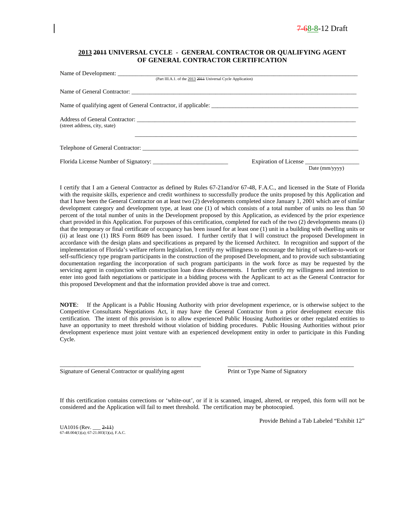#### **2013 2011 UNIVERSAL CYCLE - GENERAL CONTRACTOR OR QUALIFYING AGENT OF GENERAL CONTRACTOR CERTIFICATION**

| (Part III.A.1. of the 2013 2014 Universal Cycle Application)   |                       |                |
|----------------------------------------------------------------|-----------------------|----------------|
|                                                                |                       |                |
|                                                                |                       |                |
| Name of qualifying agent of General Contractor, if applicable: |                       |                |
| (street address, city, state)                                  |                       |                |
|                                                                |                       |                |
| Florida License Number of Signatory:                           | Expiration of License | Date (mm/yyyy) |

I certify that I am a General Contractor as defined by Rules 67-21and/or 67-48, F.A.C., and licensed in the State of Florida with the requisite skills, experience and credit worthiness to successfully produce the units proposed by this Application and that I have been the General Contractor on at least two (2) developments completed since January 1, 2001 which are of similar development category and development type, at least one (1) of which consists of a total number of units no less than 50 percent of the total number of units in the Development proposed by this Application, as evidenced by the prior experience chart provided in this Application. For purposes of this certification, completed for each of the two (2) developments means (i) that the temporary or final certificate of occupancy has been issued for at least one (1) unit in a building with dwelling units or (ii) at least one (1) IRS Form 8609 has been issued. I further certify that I will construct the proposed Development in accordance with the design plans and specifications as prepared by the licensed Architect. In recognition and support of the implementation of Florida's welfare reform legislation, I certify my willingness to encourage the hiring of welfare-to-work or self-sufficiency type program participants in the construction of the proposed Development, and to provide such substantiating documentation regarding the incorporation of such program participants in the work force as may be requested by the servicing agent in conjunction with construction loan draw disbursements. I further certify my willingness and intention to enter into good faith negotiations or participate in a bidding process with the Applicant to act as the General Contractor for this proposed Development and that the information provided above is true and correct.

**NOTE**: If the Applicant is a Public Housing Authority with prior development experience, or is otherwise subject to the Competitive Consultants Negotiations Act, it may have the General Contractor from a prior development execute this certification. The intent of this provision is to allow experienced Public Housing Authorities or other regulated entities to have an opportunity to meet threshold without violation of bidding procedures. Public Housing Authorities without prior development experience must joint venture with an experienced development entity in order to participate in this Funding Cycle.

Signature of General Contractor or qualifying agent Print or Type Name of Signatory

If this certification contains corrections or 'white-out', or if it is scanned, imaged, altered, or retyped, this form will not be considered and the Application will fail to meet threshold. The certification may be photocopied.

\_\_\_\_\_\_\_\_\_\_\_\_\_\_\_\_\_\_\_\_\_\_\_\_\_\_\_\_\_\_\_\_\_\_\_\_\_\_\_\_\_\_\_\_\_\_\_ \_\_\_\_\_\_\_\_\_\_\_\_\_\_\_\_\_\_\_\_\_\_\_\_\_\_\_\_\_\_\_\_\_\_\_\_\_\_\_\_\_\_

 $UA1016$  (Rev.  $2-11$ )  $67-48.004(1)(a)$ ;  $67-21.003(1)(a)$ , F.A.C. Provide Behind a Tab Labeled "Exhibit 12"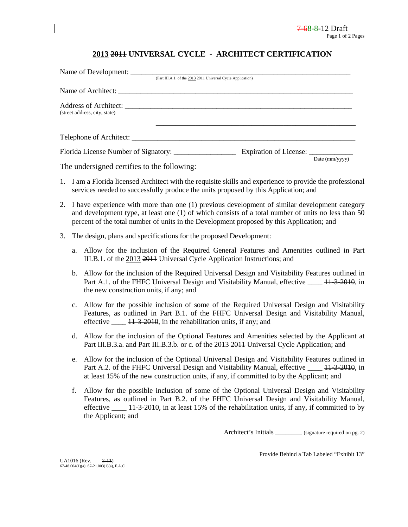# **2013 2011 UNIVERSAL CYCLE - ARCHITECT CERTIFICATION**

| Name of Development:                 |                                                              |                |
|--------------------------------------|--------------------------------------------------------------|----------------|
|                                      | (Part III.A.1. of the 2013 2014 Universal Cycle Application) |                |
|                                      |                                                              |                |
| (street address, city, state)        |                                                              |                |
|                                      |                                                              |                |
| Florida License Number of Signatory: | Expiration of License:                                       | Date (mm/yyyy) |

The undersigned certifies to the following:

- 1. I am a Florida licensed Architect with the requisite skills and experience to provide the professional services needed to successfully produce the units proposed by this Application; and
- 2. I have experience with more than one (1) previous development of similar development category and development type, at least one (1) of which consists of a total number of units no less than 50 percent of the total number of units in the Development proposed by this Application; and
- 3. The design, plans and specifications for the proposed Development:
	- a. Allow for the inclusion of the Required General Features and Amenities outlined in Part III.B.1. of the 2013 2011 Universal Cycle Application Instructions; and
	- b. Allow for the inclusion of the Required Universal Design and Visitability Features outlined in Part A.1. of the FHFC Universal Design and Visitability Manual, effective \_\_\_\_ 11-3-2010, in the new construction units, if any; and
	- c. Allow for the possible inclusion of some of the Required Universal Design and Visitability Features, as outlined in Part B.1. of the FHFC Universal Design and Visitability Manual, effective \_\_\_\_\_ 11-3-2010, in the rehabilitation units, if any; and
	- d. Allow for the inclusion of the Optional Features and Amenities selected by the Applicant at Part III.B.3.a. and Part III.B.3.b. or c. of the 2013 2011 Universal Cycle Application; and
	- e. Allow for the inclusion of the Optional Universal Design and Visitability Features outlined in Part A.2. of the FHFC Universal Design and Visitability Manual, effective \_\_\_\_ 11-3-2010, in at least 15% of the new construction units, if any, if committed to by the Applicant; and
	- f. Allow for the possible inclusion of some of the Optional Universal Design and Visitability Features, as outlined in Part B.2. of the FHFC Universal Design and Visitability Manual, effective  $\frac{11-3-2010}{11}$ , in at least 15% of the rehabilitation units, if any, if committed to by the Applicant; and

Architect's Initials \_\_\_\_\_\_\_\_ (signature required on pg. 2)

Provide Behind a Tab Labeled "Exhibit 13"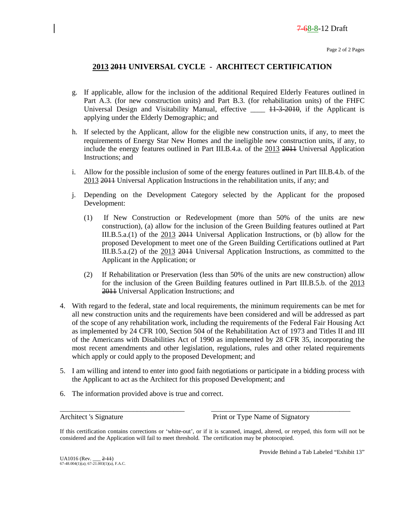# **2013 2011 UNIVERSAL CYCLE - ARCHITECT CERTIFICATION**

- g. If applicable, allow for the inclusion of the additional Required Elderly Features outlined in Part A.3. (for new construction units) and Part B.3. (for rehabilitation units) of the FHFC Universal Design and Visitability Manual, effective \_\_\_\_ 11-3-2010, if the Applicant is applying under the Elderly Demographic; and
- h. If selected by the Applicant, allow for the eligible new construction units, if any, to meet the requirements of Energy Star New Homes and the ineligible new construction units, if any, to include the energy features outlined in Part III.B.4.a. of the 2013 2011 Universal Application Instructions; and
- i. Allow for the possible inclusion of some of the energy features outlined in Part III.B.4.b. of the 2013 2011 Universal Application Instructions in the rehabilitation units, if any; and
- j. Depending on the Development Category selected by the Applicant for the proposed Development:
	- (1) If New Construction or Redevelopment (more than 50% of the units are new construction), (a) allow for the inclusion of the Green Building features outlined at Part III.B.5.a.(1) of the 2013 2011 Universal Application Instructions, or (b) allow for the proposed Development to meet one of the Green Building Certifications outlined at Part III.B.5.a.(2) of the 2013 2011 Universal Application Instructions, as committed to the Applicant in the Application; or
	- (2) If Rehabilitation or Preservation (less than 50% of the units are new construction) allow for the inclusion of the Green Building features outlined in Part III.B.5.b. of the 2013 2011 Universal Application Instructions; and
- 4. With regard to the federal, state and local requirements, the minimum requirements can be met for all new construction units and the requirements have been considered and will be addressed as part of the scope of any rehabilitation work, including the requirements of the Federal Fair Housing Act as implemented by 24 CFR 100, Section 504 of the Rehabilitation Act of 1973 and Titles II and III of the Americans with Disabilities Act of 1990 as implemented by 28 CFR 35, incorporating the most recent amendments and other legislation, regulations, rules and other related requirements which apply or could apply to the proposed Development; and
- 5. I am willing and intend to enter into good faith negotiations or participate in a bidding process with the Applicant to act as the Architect for this proposed Development; and
- 6. The information provided above is true and correct.

Architect 's Signature Print or Type Name of Signatory

If this certification contains corrections or 'white-out', or if it is scanned, imaged, altered, or retyped, this form will not be considered and the Application will fail to meet threshold. The certification may be photocopied.

\_\_\_\_\_\_\_\_\_\_\_\_\_\_\_\_\_\_\_\_\_\_\_\_\_\_\_\_\_\_\_\_\_\_ \_\_\_\_\_\_\_\_\_\_\_\_\_\_\_\_\_\_\_\_\_\_\_\_\_\_\_\_\_\_\_\_\_\_\_\_\_\_

Provide Behind a Tab Labeled "Exhibit 13"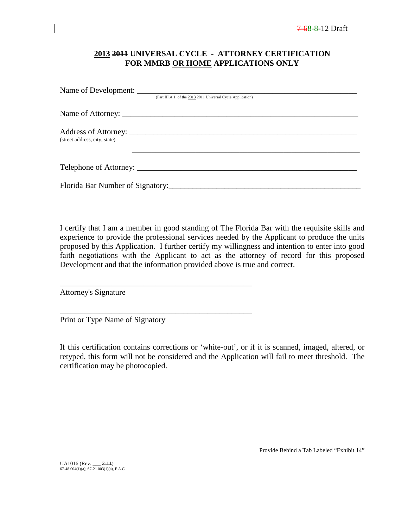# **2013 2011 UNIVERSAL CYCLE - ATTORNEY CERTIFICATION FOR MMRB OR HOME APPLICATIONS ONLY**

|                               | (Part III.A.1. of the 2013 2011 Universal Cycle Application) |
|-------------------------------|--------------------------------------------------------------|
|                               |                                                              |
| (street address, city, state) |                                                              |
|                               |                                                              |
|                               |                                                              |

I certify that I am a member in good standing of The Florida Bar with the requisite skills and experience to provide the professional services needed by the Applicant to produce the units proposed by this Application. I further certify my willingness and intention to enter into good faith negotiations with the Applicant to act as the attorney of record for this proposed Development and that the information provided above is true and correct.

Attorney's Signature

Print or Type Name of Signatory

\_\_\_\_\_\_\_\_\_\_\_\_\_\_\_\_\_\_\_\_\_\_\_\_\_\_\_\_\_\_\_\_\_\_\_\_\_\_\_\_\_\_\_\_\_\_\_\_

\_\_\_\_\_\_\_\_\_\_\_\_\_\_\_\_\_\_\_\_\_\_\_\_\_\_\_\_\_\_\_\_\_\_\_\_\_\_\_\_\_\_\_\_\_\_\_\_

If this certification contains corrections or 'white-out', or if it is scanned, imaged, altered, or retyped, this form will not be considered and the Application will fail to meet threshold. The certification may be photocopied.

Provide Behind a Tab Labeled "Exhibit 14"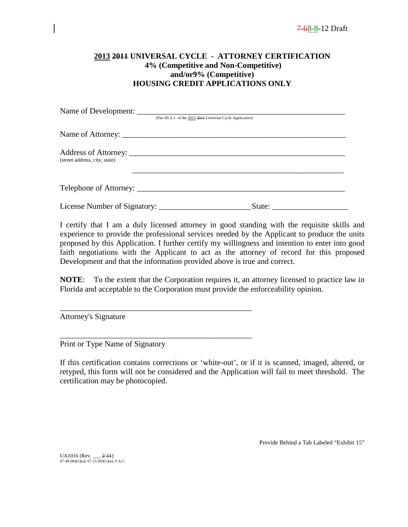# **2013 2011 UNIVERSAL CYCLE - ATTORNEY CERTIFICATION 4% (Competitive and Non-Competitive) and/or9% (Competitive) HOUSING CREDIT APPLICATIONS ONLY**

|                               | (Part III.A.1. of the 2013 2014 Universal Cycle Application)                                                                                                                                                                                                                                                                                                                                                                                      |  |
|-------------------------------|---------------------------------------------------------------------------------------------------------------------------------------------------------------------------------------------------------------------------------------------------------------------------------------------------------------------------------------------------------------------------------------------------------------------------------------------------|--|
|                               |                                                                                                                                                                                                                                                                                                                                                                                                                                                   |  |
| (street address, city, state) |                                                                                                                                                                                                                                                                                                                                                                                                                                                   |  |
|                               |                                                                                                                                                                                                                                                                                                                                                                                                                                                   |  |
|                               | State: $\frac{1}{\sqrt{1-\frac{1}{2}} \cdot \frac{1}{2} \cdot \frac{1}{2} \cdot \frac{1}{2} \cdot \frac{1}{2} \cdot \frac{1}{2} \cdot \frac{1}{2} \cdot \frac{1}{2} \cdot \frac{1}{2} \cdot \frac{1}{2} \cdot \frac{1}{2} \cdot \frac{1}{2} \cdot \frac{1}{2} \cdot \frac{1}{2} \cdot \frac{1}{2} \cdot \frac{1}{2} \cdot \frac{1}{2} \cdot \frac{1}{2} \cdot \frac{1}{2} \cdot \frac{1}{2} \cdot \frac{1}{2} \cdot \frac{1}{2} \cdot \frac{1}{2$ |  |

I certify that I am a duly licensed attorney in good standing with the requisite skills and experience to provide the professional services needed by the Applicant to produce the units proposed by this Application. I further certify my willingness and intention to enter into good faith negotiations with the Applicant to act as the attorney of record for this proposed Development and that the information provided above is true and correct.

**NOTE**: To the extent that the Corporation requires it, an attorney licensed to practice law in Florida and acceptable to the Corporation must provide the enforceability opinion.

Attorney's Signature

Print or Type Name of Signatory

\_\_\_\_\_\_\_\_\_\_\_\_\_\_\_\_\_\_\_\_\_\_\_\_\_\_\_\_\_\_\_\_\_\_\_\_\_\_\_\_\_\_\_\_\_\_\_\_

\_\_\_\_\_\_\_\_\_\_\_\_\_\_\_\_\_\_\_\_\_\_\_\_\_\_\_\_\_\_\_\_\_\_\_\_\_\_\_\_\_\_\_\_\_\_\_\_

If this certification contains corrections or 'white-out', or if it is scanned, imaged, altered, or retyped, this form will not be considered and the Application will fail to meet threshold. The certification may be photocopied.

Provide Behind a Tab Labeled "Exhibit 15"

UA1016 (Rev. \_\_\_ 2-11) 67-48.004(1)(a); 67-21.003(1)(a), F.A.C.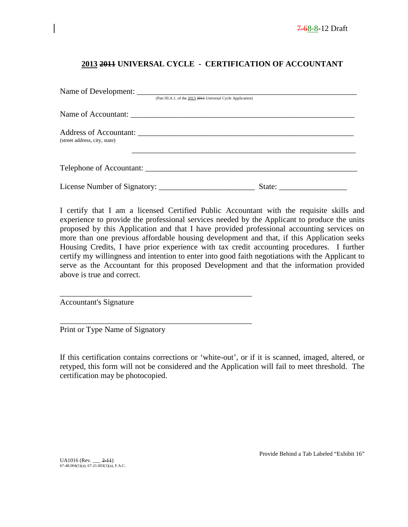# **2013 2011 UNIVERSAL CYCLE - CERTIFICATION OF ACCOUNTANT**

|                               | (Part III.A.1. of the 2013 2011 Universal Cycle Application) |  |
|-------------------------------|--------------------------------------------------------------|--|
|                               |                                                              |  |
| (street address, city, state) |                                                              |  |
|                               | Telephone of Accountant:                                     |  |
|                               |                                                              |  |

I certify that I am a licensed Certified Public Accountant with the requisite skills and experience to provide the professional services needed by the Applicant to produce the units proposed by this Application and that I have provided professional accounting services on more than one previous affordable housing development and that, if this Application seeks Housing Credits, I have prior experience with tax credit accounting procedures. I further certify my willingness and intention to enter into good faith negotiations with the Applicant to serve as the Accountant for this proposed Development and that the information provided above is true and correct.

Accountant's Signature

Print or Type Name of Signatory

\_\_\_\_\_\_\_\_\_\_\_\_\_\_\_\_\_\_\_\_\_\_\_\_\_\_\_\_\_\_\_\_\_\_\_\_\_\_\_\_\_\_\_\_\_\_\_\_

\_\_\_\_\_\_\_\_\_\_\_\_\_\_\_\_\_\_\_\_\_\_\_\_\_\_\_\_\_\_\_\_\_\_\_\_\_\_\_\_\_\_\_\_\_\_\_\_

If this certification contains corrections or 'white-out', or if it is scanned, imaged, altered, or retyped, this form will not be considered and the Application will fail to meet threshold. The certification may be photocopied.

UA1016 (Rev. \_\_\_ <del>2-11</del>)<br>67-48.004(1)(a); 67-21.003(1)(a), F.A.C.

Provide Behind a Tab Labeled "Exhibit 16"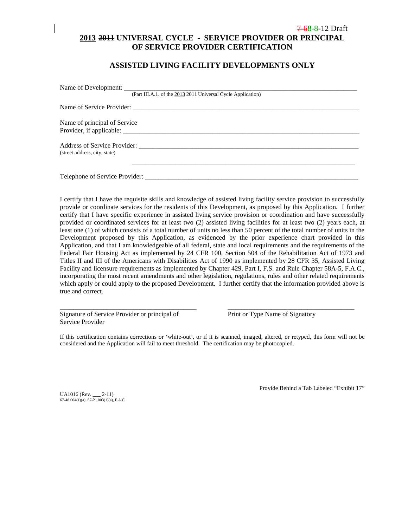# **2013 2011 UNIVERSAL CYCLE - SERVICE PROVIDER OR PRINCIPAL OF SERVICE PROVIDER CERTIFICATION**

### **ASSISTED LIVING FACILITY DEVELOPMENTS ONLY**

| (Part III.A.1. of the 2013 2014 Universal Cycle Application) |  |
|--------------------------------------------------------------|--|
|                                                              |  |
| Name of principal of Service                                 |  |
|                                                              |  |
|                                                              |  |
| (street address, city, state)                                |  |
|                                                              |  |
|                                                              |  |

I certify that I have the requisite skills and knowledge of assisted living facility service provision to successfully provide or coordinate services for the residents of this Development, as proposed by this Application. I further certify that I have specific experience in assisted living service provision or coordination and have successfully provided or coordinated services for at least two (2) assisted living facilities for at least two (2) years each, at least one (1) of which consists of a total number of units no less than 50 percent of the total number of units in the Development proposed by this Application, as evidenced by the prior experience chart provided in this Application, and that I am knowledgeable of all federal, state and local requirements and the requirements of the Federal Fair Housing Act as implemented by 24 CFR 100, Section 504 of the Rehabilitation Act of 1973 and Titles II and III of the Americans with Disabilities Act of 1990 as implemented by 28 CFR 35, Assisted Living Facility and licensure requirements as implemented by Chapter 429, Part I, F.S. and Rule Chapter 58A-5, F.A.C., incorporating the most recent amendments and other legislation, regulations, rules and other related requirements which apply or could apply to the proposed Development. I further certify that the information provided above is true and correct.

Signature of Service Provider or principal of Print or Type Name of Signatory Service Provider

If this certification contains corrections or 'white-out', or if it is scanned, imaged, altered, or retyped, this form will not be considered and the Application will fail to meet threshold. The certification may be photocopied.

\_\_\_\_\_\_\_\_\_\_\_\_\_\_\_\_\_\_\_\_\_\_\_\_\_\_\_\_\_\_\_\_\_\_\_\_\_\_\_\_\_ \_\_\_\_\_\_\_\_\_\_\_\_\_\_\_\_\_\_\_\_\_\_\_\_\_\_\_\_\_\_\_\_\_\_\_\_\_\_

 $UA1016$  (Rev.  $2-11$ ) 67-48.004(1)(a); 67-21.003(1)(a), F.A.C. Provide Behind a Tab Labeled "Exhibit 17"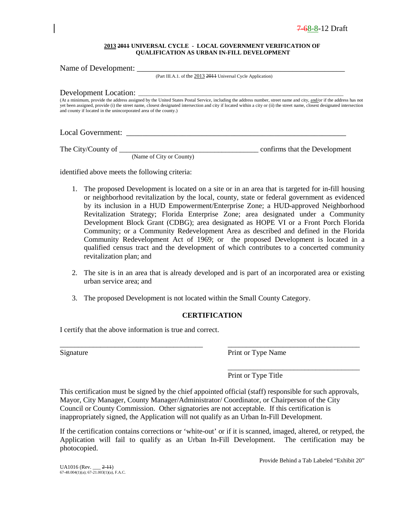#### **2013 2011 UNIVERSAL CYCLE - LOCAL GOVERNMENT VERIFICATION OF QUALIFICATION AS URBAN IN-FILL DEVELOPMENT**

Name of Development:

(Part III.A.1. of the 2013 2011 Universal Cycle Application)

#### Development Location:

(At a minimum, provide the address assigned by the United States Postal Service, including the address number, street name and city, and/or if the address has not yet been assigned, provide (i) the street name, closest designated intersection and city if located within a city or (ii) the street name, closest designated intersection and county if located in the unincorporated area of the county.)

Local Government:

The City/County of \_\_\_\_\_\_\_\_\_\_\_\_\_\_\_\_\_\_\_\_\_\_\_\_\_\_\_\_\_\_\_\_\_\_\_\_\_\_ confirms that the Development

(Name of City or County)

identified above meets the following criteria:

- 1. The proposed Development is located on a site or in an area that is targeted for in-fill housing or neighborhood revitalization by the local, county, state or federal government as evidenced by its inclusion in a HUD Empowerment/Enterprise Zone; a HUD-approved Neighborhood Revitalization Strategy; Florida Enterprise Zone; area designated under a Community Development Block Grant (CDBG); area designated as HOPE VI or a Front Porch Florida Community; or a Community Redevelopment Area as described and defined in the Florida Community Redevelopment Act of 1969; or the proposed Development is located in a qualified census tract and the development of which contributes to a concerted community revitalization plan; and
- 2. The site is in an area that is already developed and is part of an incorporated area or existing urban service area; and
- 3. The proposed Development is not located within the Small County Category.

### **CERTIFICATION**

\_\_\_\_\_\_\_\_\_\_\_\_\_\_\_\_\_\_\_\_\_\_\_\_\_\_\_\_\_\_\_\_\_\_\_\_\_\_\_ \_\_\_\_\_\_\_\_\_\_\_\_\_\_\_\_\_\_\_\_\_\_\_\_\_\_\_\_\_\_\_\_\_\_\_\_

I certify that the above information is true and correct.

Signature Print or Type Name

\_\_\_\_\_\_\_\_\_\_\_\_\_\_\_\_\_\_\_\_\_\_\_\_\_\_\_\_\_\_\_\_\_\_\_\_ Print or Type Title

This certification must be signed by the chief appointed official (staff) responsible for such approvals, Mayor, City Manager, County Manager/Administrator/ Coordinator, or Chairperson of the City Council or County Commission. Other signatories are not acceptable. If this certification is inappropriately signed, the Application will not qualify as an Urban In-Fill Development.

If the certification contains corrections or 'white-out' or if it is scanned, imaged, altered, or retyped, the Application will fail to qualify as an Urban In-Fill Development. The certification may be photocopied.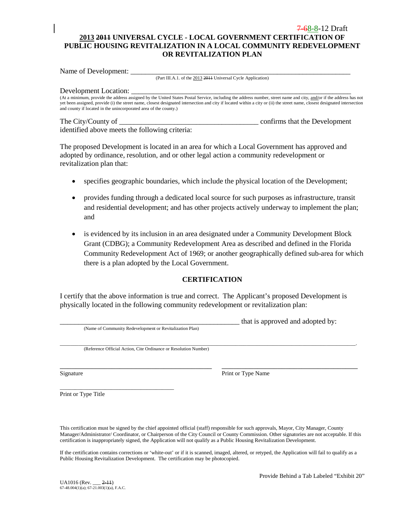# **2013 2011 UNIVERSAL CYCLE - LOCAL GOVERNMENT CERTIFICATION OF PUBLIC HOUSING REVITALIZATION IN A LOCAL COMMUNITY REDEVELOPMENT OR REVITALIZATION PLAN**

Name of Development:

(Part III.A.1. of the 2013 2011 Universal Cycle Application)

#### Development Location:

(At a minimum, provide the address assigned by the United States Postal Service, including the address number, street name and city, and/or if the address has not yet been assigned, provide (i) the street name, closest designated intersection and city if located within a city or (ii) the street name, closest designated intersection and county if located in the unincorporated area of the county.)

The City/County of \_\_\_\_\_\_\_\_\_\_\_\_\_\_\_\_\_\_\_\_\_\_\_\_\_\_\_\_\_\_\_\_\_\_\_\_\_\_ confirms that the Development identified above meets the following criteria:

The proposed Development is located in an area for which a Local Government has approved and adopted by ordinance, resolution, and or other legal action a community redevelopment or revitalization plan that:

- specifies geographic boundaries, which include the physical location of the Development;
- provides funding through a dedicated local source for such purposes as infrastructure, transit and residential development; and has other projects actively underway to implement the plan; and
- is evidenced by its inclusion in an area designated under a Community Development Block Grant (CDBG); a Community Redevelopment Area as described and defined in the Florida Community Redevelopment Act of 1969; or another geographically defined sub-area for which there is a plan adopted by the Local Government.

### **CERTIFICATION**

I certify that the above information is true and correct. The Applicant's proposed Development is physically located in the following community redevelopment or revitalization plan:

|                                                                  | that is approved and adopted by: |
|------------------------------------------------------------------|----------------------------------|
| (Name of Community Redevelopment or Revitalization Plan)         |                                  |
|                                                                  |                                  |
|                                                                  |                                  |
| (Reference Official Action, Cite Ordinance or Resolution Number) |                                  |
|                                                                  |                                  |
|                                                                  |                                  |

Signature Print or Type Name

\_\_\_\_\_\_\_\_\_\_\_\_\_\_\_\_\_\_\_\_\_\_\_\_\_\_\_\_\_\_\_\_\_\_\_\_\_\_ Print or Type Title

This certification must be signed by the chief appointed official (staff) responsible for such approvals, Mayor, City Manager, County Manager/Administrator/ Coordinator, or Chairperson of the City Council or County Commission. Other signatories are not acceptable. If this certification is inappropriately signed, the Application will not qualify as a Public Housing Revitalization Development.

If the certification contains corrections or 'white-out' or if it is scanned, imaged, altered, or retyped, the Application will fail to qualify as a Public Housing Revitalization Development. The certification may be photocopied.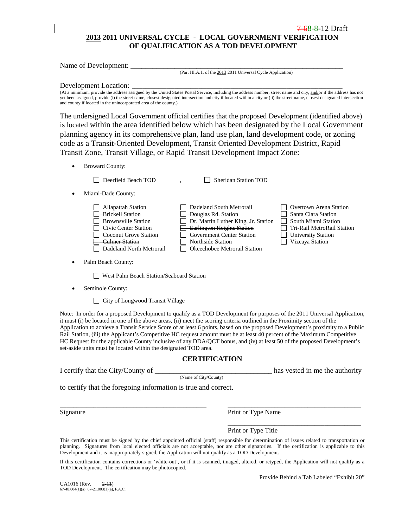### **2013 2011 UNIVERSAL CYCLE - LOCAL GOVERNMENT VERIFICATION OF QUALIFICATION AS A TOD DEVELOPMENT**

Name of Development:

(Part III.A.1. of the 2013 2011 Universal Cycle Application)

#### Development Location:

(At a minimum, provide the address assigned by the United States Postal Service, including the address number, street name and city, and/or if the address has not yet been assigned, provide (i) the street name, closest designated intersection and city if located within a city or (ii) the street name, closest designated intersection and county if located in the unincorporated area of the county.)

The undersigned Local Government official certifies that the proposed Development (identified above) is located within the area identified below which has been designated by the Local Government planning agency in its comprehensive plan, land use plan, land development code, or zoning code as a Transit-Oriented Development, Transit Oriented Development District, Rapid Transit Zone, Transit Village, or Rapid Transit Development Impact Zone:

• Broward County:

Deerfield Beach TOD , Sheridan Station TOD

• Miami-Dade County:



Palm Beach County:

West Palm Beach Station/Seaboard Station

Seminole County:

□ City of Longwood Transit Village

Note: In order for a proposed Development to qualify as a TOD Development for purposes of the 2011 Universal Application, it must (i) be located in one of the above areas, (ii) meet the scoring criteria outlined in the Proximity section of the Application to achieve a Transit Service Score of at least 6 points, based on the proposed Development's proximity to a Public Rail Station, (iii) the Applicant's Competitive HC request amount must be at least 40 percent of the Maximum Competitive HC Request for the applicable County inclusive of any DDA/QCT bonus, and (iv) at least 50 of the proposed Development's set-aside units must be located within the designated TOD area.

### **CERTIFICATION**

I certify that the City/County of the compact of the authority of the authority of the authority of the authority

(Name of City/County)

to certify that the foregoing information is true and correct.

Signature **Print or Type Name** Print or Type Name

Print or Type Title

This certification must be signed by the chief appointed official (staff) responsible for determination of issues related to transportation or planning. Signatures from local elected officials are not acceptable, nor are other signatories. If the certification is applicable to this Development and it is inappropriately signed, the Application will not qualify as a TOD Development.

\_\_\_\_\_\_\_\_\_\_\_\_\_\_\_\_\_\_\_\_\_\_\_\_\_\_\_\_\_\_\_\_\_\_\_\_\_\_\_\_\_\_\_\_ \_\_\_\_\_\_\_\_\_\_\_\_\_\_\_\_\_\_\_\_\_\_\_\_\_\_\_\_\_\_\_\_\_\_\_\_\_\_\_\_

If this certification contains corrections or 'white-out', or if it is scanned, imaged, altered, or retyped, the Application will not qualify as a TOD Development. The certification may be photocopied.

 $U_A$ 1016 (Rev.  $2-11$ )  $67-48.004(1)(a)$ ;  $67-21.003(1)(a)$ , F.A.C. Provide Behind a Tab Labeled "Exhibit 20"

\_\_\_\_\_\_\_\_\_\_\_\_\_\_\_\_\_\_\_\_\_\_\_\_\_\_\_\_\_\_\_\_\_\_\_\_\_\_\_\_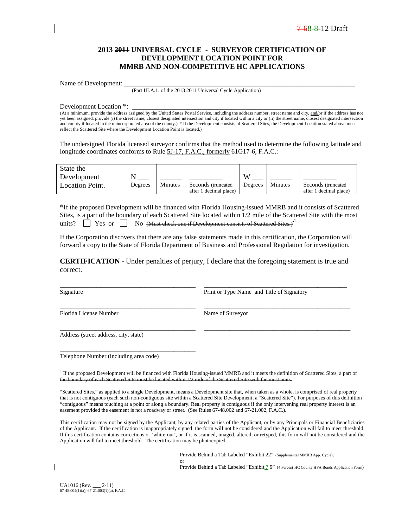### **2013 2011 UNIVERSAL CYCLE - SURVEYOR CERTIFICATION OF DEVELOPMENT LOCATION POINT FOR MMRB AND NON-COMPETITIVE HC APPLICATIONS**

Name of Development:

(Part III.A.1. of the 2013 2014 Universal Cycle Application)

Development Location \*:

(At a minimum, provide the address assigned by the United States Postal Service, including the address number, street name and city, and/or if the address has not yet been assigned, provide (i) the street name, closest designated intersection and city if located within a city or (ii) the street name, closest designated intersection and county if located in the unincorporated area of the county.) \* If the Development consists of Scattered Sites, the Development Location stated above must reflect the Scattered Site where the Development Location Point is located.)

The undersigned Florida licensed surveyor confirms that the method used to determine the following latitude and longitude coordinates conforms to Rule 5J-17, F.A.C., formerly 61G17-6, F.A.C.:

| State the              |         |         |                        |         |         |                        |
|------------------------|---------|---------|------------------------|---------|---------|------------------------|
| Development            |         |         |                        | W       |         |                        |
| <b>Location Point.</b> | Degrees | Minutes | Seconds (truncated     | Degrees | Minutes | Seconds (truncated     |
|                        |         |         | after 1 decimal place) |         |         | after 1 decimal place) |

\*If the proposed Development will be financed with Florida Housing-issued MMRB and it consists of Scattered Sites, is a part of the boundary of each Scattered Site located within 1/2 mile of the Scattered Site with the most units?  $\leftarrow$  Yes or  $\leftarrow$  No (Must check one if Development consists of Scattered Sites.)<sup> $\pm$ </sup>

If the Corporation discovers that there are any false statements made in this certification, the Corporation will forward a copy to the State of Florida Department of Business and Professional Regulation for investigation.

**CERTIFICATION** - Under penalties of perjury, I declare that the foregoing statement is true and correct.

\_\_\_\_\_\_\_\_\_\_\_\_\_\_\_\_\_\_\_\_\_\_\_\_\_\_\_\_\_\_\_\_\_\_\_\_\_ \_\_\_\_\_\_\_\_\_\_\_\_\_\_\_\_\_\_\_\_\_\_\_\_\_\_\_\_\_\_\_\_\_\_\_\_\_\_\_\_

\_\_\_\_\_\_\_\_\_\_\_\_\_\_\_\_\_\_\_\_\_\_\_\_\_\_\_\_\_\_\_\_\_\_\_\_\_ \_\_\_\_\_\_\_\_\_\_\_\_\_\_\_\_\_\_\_\_\_\_\_\_\_\_\_\_\_\_\_\_\_\_\_\_\_\_\_\_

\_\_\_\_\_\_\_\_\_\_\_\_\_\_\_\_\_\_\_\_\_\_\_\_\_\_\_\_\_\_\_\_\_\_\_\_\_ \_\_\_\_\_\_\_\_\_\_\_\_\_\_\_\_\_\_\_\_\_\_\_\_\_\_\_\_\_\_\_\_\_\_\_\_\_\_\_ Signature **Print or Type Name and Title of Signatory** 

Florida License Number Name of Surveyor

Address (street address, city, state)

Telephone Number (including area code)

\_\_\_\_\_\_\_\_\_\_\_\_\_\_\_\_\_\_\_\_\_\_\_\_\_\_\_\_\_\_\_\_\_\_\_\_\_

<sup>1</sup> If the proposed Development will be financed with Florida Housing-issued MMRB and it the boundary of each Scattered Site must be located within 1/2 mile of the Scattered Site with the most units.

"Scattered Sites," as applied to a single Development, means a Development site that, when taken as a whole, is comprised of real property that is not contiguous (each such non-contiguous site within a Scattered Site Development, a "Scattered Site"). For purposes of this definition "contiguous" means touching at a point or along a boundary. Real property is contiguous if the only intervening real property interest is an easement provided the easement is not a roadway or street. (See Rules 67-48.002 and 67-21.002, F.A.C.).

This certification may not be signed by the Applicant, by any related parties of the Applicant, or by any Principals or Financial Beneficiaries of the Applicant. If the certification is inappropriately signed the form will not be considered and the Application will fail to meet threshold. If this certification contains corrections or 'white-out', or if it is scanned, imaged, altered, or retyped, this form will not be considered and the Application will fail to meet threshold. The certification may be photocopied.

> Provide Behind a Tab Labeled "Exhibit 22" (Supplemental MMRB App. Cycle); or

Provide Behind a Tab Labeled "Exhibit 7 5" (4 Percent HC County HFA Bonds Application Form)

 $U[A1016 (Rev - 2-11)]$ 67-48.004(1)(a); 67-21.003(1)(a), F.A.C.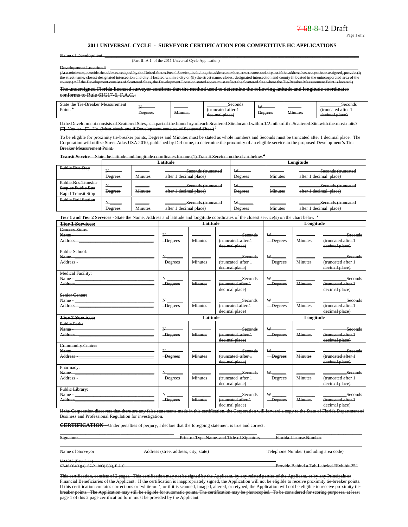#### Page 1 of 2

#### **2011 UNIVERSAL CYCLE - SURVEYOR CERTIFICATION FOR COMPETITIVE HC APPLICATIONS**

Name of Development: \_\_\_\_\_\_\_\_\_\_\_\_\_\_\_\_\_\_\_\_\_\_\_\_\_\_\_\_\_\_\_\_\_\_\_\_\_\_\_\_\_\_\_\_\_\_\_\_\_\_\_\_\_\_\_\_\_\_\_\_\_\_\_\_\_\_\_\_\_\_\_\_\_\_\_\_\_\_\_\_\_\_\_\_\_\_\_\_\_\_\_\_\_\_\_\_\_\_\_\_\_\_\_\_\_\_\_\_\_

(Part III.A.1. of the 2011 Universal Cycle Application)

Development Location  $*$ , provide the address assigned by the United States Postal Service, including the address nucleoses number, st<br>closest designated intersection and city if located within a city or (ii) the street name, close the United States Postal Service, including the address number, street name and city, or if the address has not yet been assig<br>Id city if located within a city or (ii) the street name, closest designated intersection and c county.) \* If the Development consists of Scattered Sites, the Development Location stated above must reflect the Scattered Site where the Tie-Breaker Measurement Point is located.)

The undersigned Florida licensed surveyor confirms that the method used to determine the following latitude and longitude coordinates conforms to Rule 61G17-6, F.A.C.:

| ---<br>$\sim$<br>State<br><del>Breaker Measurement</del><br>че⊸<br>Point. | ______<br>Degrees | $\frac{1}{2}$<br><b>Minutes</b> | Seconds<br>fruncated atter<br><del>uumawa ano n</del><br>decimal place | XX <sub>2</sub><br>Degrees | $\mathbf{v}$<br>Minutes | Seconds<br>truncated after<br><del>uumated anel -</del><br>decimal place |
|---------------------------------------------------------------------------|-------------------|---------------------------------|------------------------------------------------------------------------|----------------------------|-------------------------|--------------------------------------------------------------------------|
|---------------------------------------------------------------------------|-------------------|---------------------------------|------------------------------------------------------------------------|----------------------------|-------------------------|--------------------------------------------------------------------------|

Ists of Scattered Sites, is a part of the boundary of each Scattered Site located within 1/2 mile of the  $\Box$  Yes or  $\Box$  No (Must check one if Development consists of Scattered Sites.)<sup>2</sup>

To be eligible for proximity tie-breaker points, Degrees and Minutes must be stated as whole numbers and Seconds must be truncated after 1 decimal place. The Corporation will utilize Street Atlas USA 2010, published by DeLorme, to determine the proximity of an eligible service to the proposed Development's Tie-Breaker Measurement Point.

**Transit Service** – State the latitude and longitude coordinates for one (1) Transit Service on the chart below.<sup>3</sup>

|                                                                               |                |                | Latitude                                     | Longitude           |                |                                              |
|-------------------------------------------------------------------------------|----------------|----------------|----------------------------------------------|---------------------|----------------|----------------------------------------------|
| Public Bus Stop                                                               | <b>Degrees</b> | <b>Minutes</b> | Seconds (truncated<br>after 1 decimal place) | <b>Degrees</b>      | <b>Minutes</b> | Seconds (truncated<br>after 1 decimal place) |
| <b>Public Bus Transfer</b><br>Stop or Public Bus<br><b>Rapid Transit Stop</b> | Degrees        | <b>Minutes</b> | Seconds (truncated<br>after 1 decimal place) | Degrees             | <b>Minutes</b> | Seconds (truncated<br>after 1 decimal place) |
| <b>Public Rail Station</b>                                                    | <b>Degrees</b> | <b>Minutes</b> | Seconds (truncated<br>after 1 decimal place) | W<br><b>Degrees</b> | <b>Minutes</b> | Seconds (truncated<br>after 1 decimal place) |

**Tier 1 and Tier 2 Services** - State the Name, Address and latitude and longitude coordinates of the closest service(s) on the chart below. <sup>3</sup>

| <b>Tier 1 Services:</b>                                                                                                                                                                                                                                                                                                                                                                                                                                                           |                                                      | Latitude       |                                                        | Longitude                             |                |                                                        |
|-----------------------------------------------------------------------------------------------------------------------------------------------------------------------------------------------------------------------------------------------------------------------------------------------------------------------------------------------------------------------------------------------------------------------------------------------------------------------------------|------------------------------------------------------|----------------|--------------------------------------------------------|---------------------------------------|----------------|--------------------------------------------------------|
| Grocery Store:<br>Name - Name - Name - Name - Name - Name - Name - Name - Name - Name - Name - Name - Name - Name - Name - Name - Name - Name - Name - Name - Name - Name - Name - Name - Name - Name - Name - Name - Name - Name - Name - Name<br>Address - The Commission of the Commission of the Commission of the Commission of the Commission of the Commission of the Commission of the Commission of the Commission of the Commission of the Commission of the Commission | $N_{\frac{1}{2}}$<br>-Degrees                        | <b>Minutes</b> | Seconds<br>(truncated after 1<br>decimal place)        | -Degrees                              | <b>Minutes</b> | Seconds<br>(truncated after 1<br>decimal place)        |
| Public School:                                                                                                                                                                                                                                                                                                                                                                                                                                                                    | $N-$<br>-Degrees                                     | <b>Minutes</b> | <b>Seconds</b><br>(truncated after 1<br>decimal place) | -Degrees                              | <b>Minutes</b> | <b>Seconds</b><br>(truncated after 1<br>decimal place) |
| <b>Medical Facility:</b><br>Address and the contract of the contract of the contract of the contract of the contract of the contract of the                                                                                                                                                                                                                                                                                                                                       | $\mathbf{N}_{\text{max}}$<br>-Degrees                | <b>Minutes</b> | Seconds<br>(truncated after +<br>decimal place)        | $\mathbf{w}_{\text{max}}$<br>-Degrees | <b>Minutes</b> | Seconds<br>(truncated after 1<br>decimal place)        |
| Senior Center:<br>Name - The Commission of the Commission of the Commission of the Commission of the Commission of the Commission of the Commission of the Commission of the Commission of the Commission of the Commission of the Commission of                                                                                                                                                                                                                                  | $\mathbf{N}_{\text{max}}$<br>-Degrees                | <b>Minutes</b> | $-$ Seconds<br>(truncated after 1<br>decimal place)    | $W$ <sub>1</sub><br>-Degrees          | <b>Minutes</b> | Seconds<br>(truncated after 1<br>decimal place)        |
|                                                                                                                                                                                                                                                                                                                                                                                                                                                                                   | Latitude                                             |                |                                                        |                                       |                |                                                        |
| <b>Tier 2 Services:</b>                                                                                                                                                                                                                                                                                                                                                                                                                                                           |                                                      |                |                                                        |                                       | Longitude      |                                                        |
| Public Park:<br>Address - 2008 - 2009 - 2010 - 2010 - 2010 - 2010 - 2010 - 2010 - 2010 - 2010 - 2010 - 2010 - 2010 - 2010 - 20                                                                                                                                                                                                                                                                                                                                                    | $\mathbf{N}_{\text{max}}$<br>-Degrees                | <b>Minutes</b> | <b>Seconds</b><br>(truncated after 1<br>decimal place) | -Degrees                              | <b>Minutes</b> | Seconds<br>(truncated after 1<br>decimal place)        |
| <b>Community Center:</b>                                                                                                                                                                                                                                                                                                                                                                                                                                                          | $N_{\overline{\phantom{a}}}\qquad\qquad$<br>-Degrees | <b>Minutes</b> | seconds<br>(truncated after 1<br>decimal place)        | $\mathbf{w}_{\text{max}}$<br>-Degrees | <b>Minutes</b> | seconds<br>(truncated after 1<br>decimal place)        |
| Pharmacy:<br>Name - The Commission of the Commission of the Commission of the Commission of the Commission of the Commission<br>Address - The Committee of the Committee of the Committee of the Committee of the Committee of the Committee o                                                                                                                                                                                                                                    | $\mathbf{N}_{\text{max}}$<br>-Degrees                | <b>Minutes</b> | Seconds<br>(truncated after 1<br>decimal place)        | $W$ and $W$<br>-Degrees               | <b>Minutes</b> | Seconds<br>(truncated after 1<br>decimal place)        |

If the Corporation discovers that there are any false statements made in this certification, the Corporation will forward a copy to the State of Florida Department of<br>Business and Professional Regulation for investigation .<br>and Professional Regulation for investigation.

**CERTIFICATION** - Under penalties of perjury, I declare that the foregoing statement is true and correct.

\_\_\_\_\_\_\_\_\_\_\_\_\_\_\_\_\_\_\_\_\_\_\_\_\_\_\_\_\_\_\_\_\_\_\_\_\_\_\_\_\_\_\_\_\_\_\_\_\_ \_\_\_\_\_\_\_\_\_\_\_\_\_\_\_\_\_\_\_\_\_\_\_\_\_\_\_\_\_\_\_\_\_ \_\_\_\_\_\_\_\_\_\_\_\_\_\_\_\_\_\_\_\_\_\_\_\_\_\_\_\_\_\_\_\_\_\_\_\_\_

Signature **Print or Type Name and Title of Signatory Plorida License Number** 

\_\_\_\_\_\_\_\_\_\_\_\_\_\_\_\_\_\_\_\_\_\_\_\_\_\_\_\_\_\_\_\_ \_\_\_\_\_\_\_\_\_\_\_\_\_\_\_\_\_\_\_\_\_\_\_\_\_\_\_\_\_\_\_\_\_\_\_\_\_\_\_\_\_\_\_\_\_\_\_\_\_\_ \_\_\_\_\_\_\_\_\_\_\_\_\_\_\_\_\_\_\_\_\_\_\_\_\_\_\_\_\_\_\_\_\_\_\_\_\_\_\_\_\_\_\_ Name of Surveyor **Address** (street address, city, state) Telephone Number (including area code)

UA1016 (Rev. 2-11)<br>67 48.004(1)(a); 67 21.003(1)(a), F.A.C.

Provide Behind a Tab Labeled "Exhibit 25"

This certification, consists of 2 pages. This certification may not be signed by the Applicant, by any related parties of the Applicant, or by any Principals or Financial Beneficiaries of the Applicant. If the certification is inappropriately signed, the Application will not be eligible to receive proximity tie-breaker points.<br>If this certification contains corrections or 'white-o ed, imaged, altered, or retyped, the Application will not be eligible to receive proximity tiebreaker points. The Application may still be eligible for automatic points. The certification may be photocopied. To be considered for scoring purposes, at least page 1 of this 2 page certification form must be provided by the Applicant.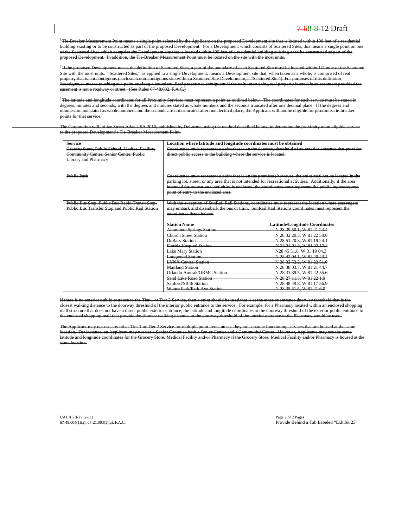<sup>+</sup>Tie-Breaker Measurement Point means a single point selected by the Applicant on the proposed Development site that is located within 100 feet of a residential building existing or to be constructed as part of the proposed Development. For a Development which consists of Scattered Sites, this means a single point on one of the Scattered Sites which comprise the Development site that is located within 100 feet of a residential building existing or to be constructed as part of the prosed Development. In addition, the Tie-Breaker Measurement Point must be located on the site with the most units.

<sup>2</sup>If the proposed Development meets the definition of Scattered Sites, a part of the boundary of each Scattered Site must be located within 1/2 mile of the Scattered Site with the most units. "Scattered Sites," as applied to a single Development, means a Development site that, when taken as a whole, is comprised of real property that is not contiguous (each such non-contiguous site within a Scattered Site Development, a "Scattered Site"). For purposes of this definition "contiguous" means touching at a point or along a boundary. Real property is contiguous if the only intervening real property interest is an easement provided the nent is not a roadway or street. (See Rules 67-48.002, F.A.C.)

 $^3$ The latitude and longitude coordinates for all Proximity Services must represent a point as outlined below. The coordinates for each service must be stated in degrees, minutes and seconds, with the degrees and minutes stated as whole numbers and the seconds truncated after one decimal place. If the degrees and minutes are not stated as whole numbers and the seconds are not truncated after one decimal place, the Applicant will not be eligible for proximity tie-breaker points for that service.

The Corporation will utilize Street Atlas USA 2010, published by DeLorme, using the method described below, to determine the proximity of an eligible service to the proposed Development's Tie-Breaker Measurement Point.

| <b>Service</b>                                                         | Location where latitude and longitude coordinates must be obtained |                                                                                                              |
|------------------------------------------------------------------------|--------------------------------------------------------------------|--------------------------------------------------------------------------------------------------------------|
| Grocery Store, Public School, Medical Facility,                        |                                                                    | Coordinates must represent a point that is on the doorway threshold of an exterior entrance that provides    |
| Community Center, Senior Center, Public<br><b>Library and Pharmacy</b> | direct public access to the building where the service is located. |                                                                                                              |
|                                                                        |                                                                    |                                                                                                              |
|                                                                        |                                                                    |                                                                                                              |
| <b>Public Park</b>                                                     |                                                                    | Coordinates must represent a point that is on the premises; however, the point may not be located in the     |
|                                                                        |                                                                    | parking lot, street, or any area that is not intended for recreational activities. Additionally, if the area |
|                                                                        |                                                                    | intended for recreational activities is enclosed, the coordinates must represent the public ingress/egress   |
|                                                                        | point of entry to the enclosed area.                               |                                                                                                              |
|                                                                        |                                                                    |                                                                                                              |
| Public Bus Stop, Public Bus Rapid Transit Stop,                        |                                                                    | With the exception of SunRail Rail Stations, coordinates must represent the location where passengers        |
| Public Bus Transfer Stop and Public Rail Station                       |                                                                    | may embark and disembark the bus or train. SunRail Rail Stations coordinates must represent the              |
|                                                                        | coordinates listed below:                                          |                                                                                                              |
|                                                                        | <b>Station Name</b>                                                | <b>Latitude/Longitude Coordinates</b>                                                                        |
|                                                                        | <b>Altamonte Springs Station</b>                                   | N 28 39 50.1, W 81 21 23.4                                                                                   |
|                                                                        | <b>Church Street Station</b>                                       | N 28 32 20.3, W 81 22 50.6                                                                                   |
|                                                                        | <b>DeBary Station</b>                                              | N 28 51 20.3, W 81 19 24.1                                                                                   |
|                                                                        | Florida Hospital Station                                           | N 28 34 21 8, W 81 22 17.4                                                                                   |
|                                                                        | <b>Lake Mary Station</b>                                           | N28 45 31.8, W 81 19 04.3                                                                                    |
|                                                                        | <b>Longwood Station</b>                                            | N 28 42 04.1, W 81 20 43.4                                                                                   |
|                                                                        | <b>LYNX Central Station</b>                                        | N 28 32 52.2, W 81 22 51.0                                                                                   |
|                                                                        | <b>Maitland Station</b>                                            | N 28 38 03.7, W 81 21 44.7                                                                                   |
|                                                                        | Orlando Amtrak/ORMC Station                                        | N 28 31 39.5, W 81 22 55.6                                                                                   |
|                                                                        | Sand Lake Road Station                                             | N 28 27 11.3, W 81 22 1.0                                                                                    |
|                                                                        | Sanford/SR46 Station                                               | N 28 48 49.8, W 81 17 56.9                                                                                   |
|                                                                        | Winter Park/Park Ave Station                                       | N 28 35 51.5, W 81 21 6.0                                                                                    |

If there is no exterior public entrance to the Tier 1 or Tier 2 Service, then a point should be used that is at the exterior entrance doorway threshold that is the closest walking distance to the doorway threshold of the interior public entrance to the service. For example, for a Pharmacy located within an enclosed shopping mall structure that does not have a direct public exterior entrance, the latitude and longitude coordinates at the doorway threshold of the exterior public entranc the enclosed shopping mall that provide the shortest walking distance to the doorway threshold of the interior entrance to the Pharmacy would be used.

The Applicant may not use any other Tier 1 or Tier 2 Service for multiple point items unless they are separate functioning services that are housed at the same location. For instance, an Applicant may not use a Senior Center as both a Senior Center and a Community Center. However, Applicants may use the same latitude and longitude coordinates for the Grocery Store, Medical Facility and/or Pharmacy if the Grocery Store, Medical Facility and/or Pharmacy is housed at the same location.

UA1016 (Rev. 2-11)<br>67-48.004(1)(a); 67-21.003(1)(a), F.A.C. Provide Behind a Tab Labeled "Exhibit 25"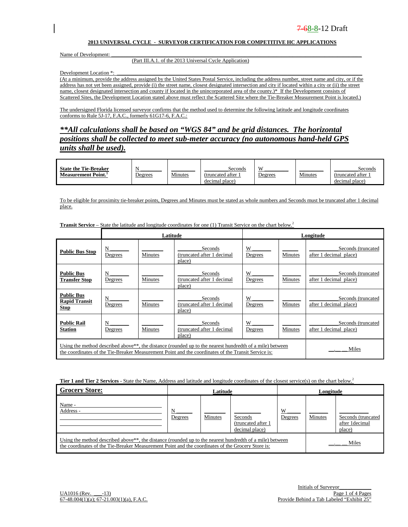#### **2013 UNIVERSAL CYCLE - SURVEYOR CERTIFICATION FOR COMPETITIVE HC APPLICATIONS**

Name of Development:

#### (Part III.A.1. of the 2013 Universal Cycle Application)

Development Location \*:

(At a minimum, provide the address assigned by the United States Postal Service, including the address number, street name and city, or if the address has not yet been assigned, provide (i) the street name, closest designated intersection and city if located within a city or (ii) the street name, closest designated intersection and county if located in the unincorporated area of the county.)\* If the Development consists of Scattered Sites, the Development Location stated above must reflect the Scattered Site where the Tie-Breaker Measurement Point is located.)

The undersigned Florida licensed surveyor confirms that the method used to determine the following latitude and longitude coordinates conforms to Rule 5J-17, F.A.C., formerly 61G17-6, F.A.C.:

*\*\*All calculations shall be based on "WGS 84" and be grid distances. The horizontal positions shall be collected to meet sub-meter accuracy (no autonomous hand-held GPS units shall be used).*

| <b>State the Tie-Breaker</b> |         |         | Seconds          | X       |         | Seconds           |
|------------------------------|---------|---------|------------------|---------|---------|-------------------|
| <b>Measurement Point.</b>    | Degrees | Minutes | (truncated after | Degrees | Minutes | (truncated after) |
|                              |         |         | decimal place)   |         |         | decimal place)    |

To be eligible for proximity tie-breaker points, Degrees and Minutes must be stated as whole numbers and Seconds must be truncated after 1 decimal place.

|                                                                                                                                                                                                                              |              | Latitude       |                                                 | Longitude    |                |                                              |
|------------------------------------------------------------------------------------------------------------------------------------------------------------------------------------------------------------------------------|--------------|----------------|-------------------------------------------------|--------------|----------------|----------------------------------------------|
| <b>Public Bus Stop</b>                                                                                                                                                                                                       | N<br>Degrees | Minutes        | Seconds<br>(truncated after 1 decimal<br>place) | W<br>Degrees | Minutes        | Seconds (truncated<br>after 1 decimal place) |
| <b>Public Bus</b><br><b>Transfer Stop</b>                                                                                                                                                                                    | N<br>Degrees | Minutes        | Seconds<br>(truncated after 1 decimal<br>place) | W<br>Degrees | Minutes        | Seconds (truncated<br>after 1 decimal place) |
| <b>Public Bus</b><br><b>Rapid Transit</b><br><b>Stop</b>                                                                                                                                                                     | N<br>Degrees | Minutes        | Seconds<br>(truncated after 1 decimal<br>place) | W<br>Degrees | Minutes        | Seconds (truncated<br>after 1 decimal place) |
| <b>Public Rail</b><br><b>Station</b>                                                                                                                                                                                         | N<br>Degrees | <b>Minutes</b> | Seconds<br>(truncated after 1 decimal<br>place) | W<br>Degrees | <b>Minutes</b> | Seconds (truncated<br>after 1 decimal place) |
| Using the method described above <sup>**</sup> , the distance (rounded up to the nearest hundredth of a mile) between<br>the coordinates of the Tie-Breaker Measurement Point and the coordinates of the Transit Service is: | Miles        |                |                                                 |              |                |                                              |

**Transit Service –** State the latitude and longitude coordinates for one (1) Transit Service on the chart below.<sup>2</sup>

**Tier 1 and Tier 2 Services** - State the Name, Address and latitude and longitude coordinates of the closest service(s) on the chart below.<sup>2</sup>

| <b>Grocery Store:</b> | Latitude                                                                                                                                                                                                                   |         |                                                  |              | Longitude |                                                |  |
|-----------------------|----------------------------------------------------------------------------------------------------------------------------------------------------------------------------------------------------------------------------|---------|--------------------------------------------------|--------------|-----------|------------------------------------------------|--|
| Name -<br>Address -   | N<br>Degrees                                                                                                                                                                                                               | Minutes | Seconds<br>(truncated after 1)<br>decimal place) | W<br>Degrees | Minutes   | Seconds (truncated<br>after 1decimal<br>place) |  |
|                       | Using the method described above <sup>**</sup> , the distance (rounded up to the nearest hundredth of a mile) between<br>the coordinates of the Tie-Breaker Measurement Point and the coordinates of the Grocery Store is: |         |                                                  |              |           | Miles                                          |  |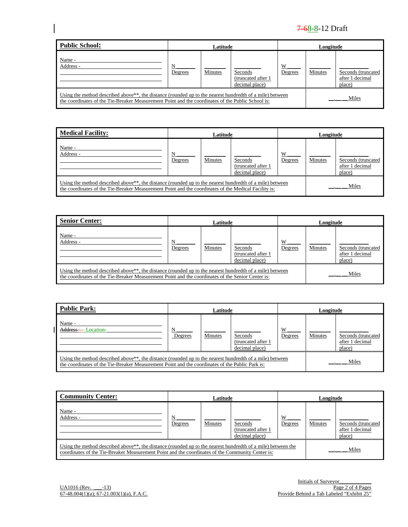| <b>Public School:</b>                                                                                                                                                                                                      | Latitude     |         |                                                  | Longitude    |         |                                                 |
|----------------------------------------------------------------------------------------------------------------------------------------------------------------------------------------------------------------------------|--------------|---------|--------------------------------------------------|--------------|---------|-------------------------------------------------|
| Name -<br>Address -                                                                                                                                                                                                        | N<br>Degrees | Minutes | Seconds<br>(truncated after 1)<br>decimal place) | W<br>Degrees | Minutes | Seconds (truncated<br>after 1 decimal<br>place) |
| Using the method described above <sup>**</sup> , the distance (rounded up to the nearest hundredth of a mile) between<br>the coordinates of the Tie-Breaker Measurement Point and the coordinates of the Public School is: |              |         |                                                  |              |         | Miles                                           |

| <b>Medical Facility:</b>                                                                                                                                                                                                      | Latitude     |         |                                                 | Longitude    |         |                                                 |
|-------------------------------------------------------------------------------------------------------------------------------------------------------------------------------------------------------------------------------|--------------|---------|-------------------------------------------------|--------------|---------|-------------------------------------------------|
| Name -<br>Address -                                                                                                                                                                                                           | N<br>Degrees | Minutes | Seconds<br>(truncated after 1<br>decimal place) | W<br>Degrees | Minutes | Seconds (truncated<br>after 1 decimal<br>place) |
| Using the method described above <sup>**</sup> , the distance (rounded up to the nearest hundredth of a mile) between<br>the coordinates of the Tie-Breaker Measurement Point and the coordinates of the Medical Facility is: |              |         |                                                 |              |         | Miles                                           |

| <b>Senior Center:</b>                                                                                                                                                                                                      | Latitude     |         |                                                 |              | Longitude |                                                 |  |
|----------------------------------------------------------------------------------------------------------------------------------------------------------------------------------------------------------------------------|--------------|---------|-------------------------------------------------|--------------|-----------|-------------------------------------------------|--|
| Name -<br>Address -                                                                                                                                                                                                        | N<br>Degrees | Minutes | Seconds<br>(truncated after 1<br>decimal place) | W<br>Degrees | Minutes   | Seconds (truncated<br>after 1 decimal<br>place) |  |
| Using the method described above <sup>**</sup> , the distance (rounded up to the nearest hundredth of a mile) between<br>the coordinates of the Tie-Breaker Measurement Point and the coordinates of the Senior Center is: |              |         |                                                 |              |           | Miles                                           |  |

|                    | <b>Public Park:</b> | Latitude                                                                                                                                                                                                                 |         |                                                  |              | Longitude |                                                 |
|--------------------|---------------------|--------------------------------------------------------------------------------------------------------------------------------------------------------------------------------------------------------------------------|---------|--------------------------------------------------|--------------|-----------|-------------------------------------------------|
| Name -<br>Address- | Location-           | Degrees                                                                                                                                                                                                                  | Minutes | Seconds<br>(truncated after 1)<br>decimal place) | W<br>Degrees | Minutes   | Seconds (truncated<br>after 1 decimal<br>place) |
|                    |                     | Using the method described above <sup>**</sup> , the distance (rounded up to the nearest hundredth of a mile) between<br>the coordinates of the Tie-Breaker Measurement Point and the coordinates of the Public Park is: |         |                                                  |              |           | Miles                                           |

| <b>Community Center:</b>                                                                                                                                                                                                      | Latitude     |         |                                                  | Longitude    |         |                                                 |
|-------------------------------------------------------------------------------------------------------------------------------------------------------------------------------------------------------------------------------|--------------|---------|--------------------------------------------------|--------------|---------|-------------------------------------------------|
| Name -<br>Address -                                                                                                                                                                                                           | N<br>Degrees | Minutes | Seconds<br>(truncated after 1)<br>decimal place) | W<br>Degrees | Minutes | Seconds (truncated<br>after 1 decimal<br>place) |
| Using the method described above <sup>**</sup> , the distance (rounded up to the nearest hundredth of a mile) between the<br>coordinates of the Tie-Breaker Measurement Point and the coordinates of the Community Center is: |              |         |                                                  |              |         | Miles                                           |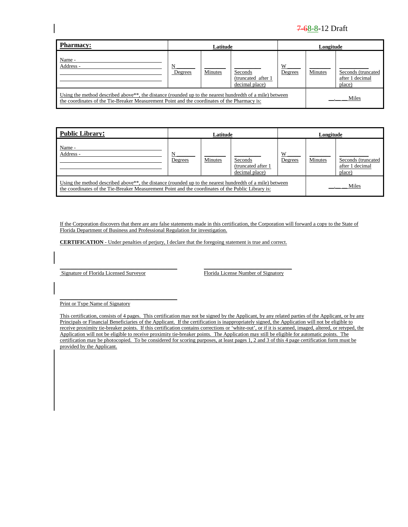| <b>Pharmacy:</b>                                                                                                                                                                                                      | Latitude     |         |                                                  |              | Longitude |                                                 |  |
|-----------------------------------------------------------------------------------------------------------------------------------------------------------------------------------------------------------------------|--------------|---------|--------------------------------------------------|--------------|-----------|-------------------------------------------------|--|
| Name -<br>Address -                                                                                                                                                                                                   | N<br>Degrees | Minutes | Seconds<br>(truncated after 1)<br>decimal place) | W<br>Degrees | Minutes   | Seconds (truncated<br>after 1 decimal<br>place) |  |
| Using the method described above <sup>**</sup> , the distance (rounded up to the nearest hundredth of a mile) between<br>the coordinates of the Tie-Breaker Measurement Point and the coordinates of the Pharmacy is: |              |         |                                                  |              |           | Miles                                           |  |

| Public Library:     | Latitude                                                                                                                                                                                                                    |                |                                                 |              | Longitude |                                                 |  |
|---------------------|-----------------------------------------------------------------------------------------------------------------------------------------------------------------------------------------------------------------------------|----------------|-------------------------------------------------|--------------|-----------|-------------------------------------------------|--|
| Name -<br>Address - | N<br>Degrees                                                                                                                                                                                                                | <b>Minutes</b> | Seconds<br>(truncated after 1<br>decimal place) | W<br>Degrees | Minutes   | Seconds (truncated<br>after 1 decimal<br>place) |  |
|                     | Using the method described above <sup>**</sup> , the distance (rounded up to the nearest hundredth of a mile) between<br>the coordinates of the Tie-Breaker Measurement Point and the coordinates of the Public Library is: |                |                                                 |              |           | Miles                                           |  |

If the Corporation discovers that there are any false statements made in this certification, the Corporation will forward a copy to the State of Florida Department of Business and Professional Regulation for investigation.

**CERTIFICATION** - Under penalties of perjury, I declare that the foregoing statement is true and correct.

Signature of Florida Licensed Surveyor Florida License Number of Signatory

\_\_\_\_\_\_\_\_\_\_\_\_\_\_\_\_\_\_\_\_\_\_\_\_\_\_\_\_\_\_\_\_\_\_\_\_\_\_\_\_\_\_\_\_

\_\_\_\_\_\_\_\_\_\_\_\_\_\_\_\_\_\_\_\_\_\_\_\_\_\_\_\_\_\_\_\_\_\_\_\_\_\_\_\_\_\_\_\_ \_\_\_\_\_\_\_\_\_\_\_\_\_\_\_\_\_\_\_\_\_\_\_\_\_\_\_\_\_\_\_\_\_

Print or Type Name of Signatory

This certification, consists of 4 pages. This certification may not be signed by the Applicant, by any related parties of the Applicant, or by any Principals or Financial Beneficiaries of the Applicant. If the certification is inappropriately signed, the Application will not be eligible to receive proximity tie-breaker points. If this certification contains corrections or 'white-out', or if it is scanned, imaged, altered, or retyped, the Application will not be eligible to receive proximity tie-breaker points. The Application may still be eligible for automatic points. The certification may be photocopied. To be considered for scoring purposes, at least pages 1, 2 and 3 of this 4 page certification form must be provided by the Applicant.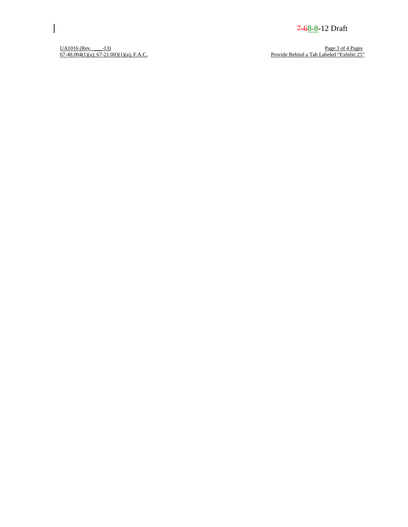UA1016 (Rev. \_\_\_-13)<br>
67-48.004(1)(a); 67-21.003(1)(a), F.A.C.<br>
Provide Behind a Tab Labeled "Exhibit 25" Provide Behind a Tab Labeled "Exhibit 25"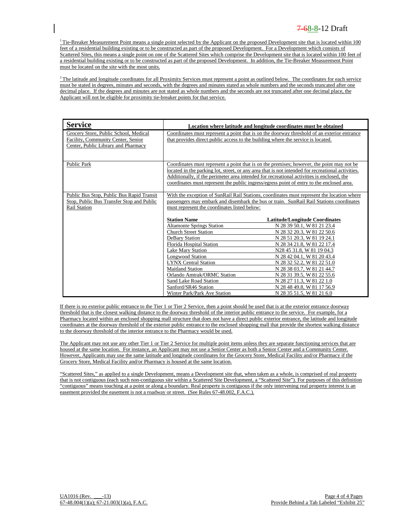$1$ <sup>1</sup> Tie-Breaker Measurement Point means a single point selected by the Applicant on the proposed Development site that is located within 100 feet of a residential building existing or to be constructed as part of the proposed Development. For a Development which consists of Scattered Sites, this means a single point on one of the Scattered Sites which comprise the Development site that is located within 100 feet of a residential building existing or to be constructed as part of the proposed Development. In addition, the Tie-Breaker Measurement Point must be located on the site with the most units.

 $2$  The latitude and longitude coordinates for all Proximity Services must represent a point as outlined below. The coordinates for each service must be stated in degrees, minutes and seconds, with the degrees and minutes stated as whole numbers and the seconds truncated after one decimal place. If the degrees and minutes are not stated as whole numbers and the seconds are not truncated after one decimal place, the Applicant will not be eligible for proximity tie-breaker points for that service.

| <b>Service</b>                                                                                                     |                                                                                                                                                                                                                                       | Location where latitude and longitude coordinates must be obtained                                                                                                                                                                                                                          |  |  |  |
|--------------------------------------------------------------------------------------------------------------------|---------------------------------------------------------------------------------------------------------------------------------------------------------------------------------------------------------------------------------------|---------------------------------------------------------------------------------------------------------------------------------------------------------------------------------------------------------------------------------------------------------------------------------------------|--|--|--|
| Grocery Store, Public School, Medical<br>Facility, Community Center, Senior<br>Center, Public Library and Pharmacy | that provides direct public access to the building where the service is located.                                                                                                                                                      | Coordinates must represent a point that is on the doorway threshold of an exterior entrance                                                                                                                                                                                                 |  |  |  |
| <b>Public Park</b>                                                                                                 | Additionally, if the perimeter area intended for recreational activities is enclosed, the                                                                                                                                             | Coordinates must represent a point that is on the premises; however, the point may not be<br>located in the parking lot, street, or any area that is not intended for recreational activities.<br>coordinates must represent the public ingress/egress point of entry to the enclosed area. |  |  |  |
| Public Bus Stop, Public Bus Rapid Transit<br>Stop, Public Bus Transfer Stop and Public<br>Rail Station             | With the exception of SunRail Rail Stations, coordinates must represent the location where<br>passengers may embark and disembark the bus or train. SunRail Rail Stations coordinates<br>must represent the coordinates listed below: |                                                                                                                                                                                                                                                                                             |  |  |  |
|                                                                                                                    | <b>Station Name</b>                                                                                                                                                                                                                   | <b>Latitude/Longitude Coordinates</b>                                                                                                                                                                                                                                                       |  |  |  |
|                                                                                                                    | <b>Altamonte Springs Station</b>                                                                                                                                                                                                      | N 28 39 50.1, W 81 21 23.4                                                                                                                                                                                                                                                                  |  |  |  |
|                                                                                                                    | <b>Church Street Station</b>                                                                                                                                                                                                          | N 28 32 20.3, W 81 22 50.6                                                                                                                                                                                                                                                                  |  |  |  |
|                                                                                                                    | <b>DeBary Station</b>                                                                                                                                                                                                                 | N 28 51 20.3, W 81 19 24.1                                                                                                                                                                                                                                                                  |  |  |  |
|                                                                                                                    | <b>Florida Hospital Station</b>                                                                                                                                                                                                       | N 28 34 21.8, W 81 22 17.4                                                                                                                                                                                                                                                                  |  |  |  |
|                                                                                                                    | <b>Lake Mary Station</b>                                                                                                                                                                                                              | N28 45 31.8, W 81 19 04.3                                                                                                                                                                                                                                                                   |  |  |  |
|                                                                                                                    | Longwood Station                                                                                                                                                                                                                      | N 28 42 04.1, W 81 20 43.4                                                                                                                                                                                                                                                                  |  |  |  |
|                                                                                                                    | <b>LYNX Central Station</b>                                                                                                                                                                                                           | N 28 32 52.2, W 81 22 51.0                                                                                                                                                                                                                                                                  |  |  |  |
|                                                                                                                    | <b>Maitland Station</b>                                                                                                                                                                                                               | N 28 38 03.7, W 81 21 44.7                                                                                                                                                                                                                                                                  |  |  |  |
|                                                                                                                    | Orlando Amtrak/ORMC Station                                                                                                                                                                                                           | N 28 31 39.5, W 81 22 55.6                                                                                                                                                                                                                                                                  |  |  |  |
|                                                                                                                    | Sand Lake Road Station                                                                                                                                                                                                                | N 28 27 11.3, W 81 22 1.0                                                                                                                                                                                                                                                                   |  |  |  |
|                                                                                                                    | Sanford/SR46 Station                                                                                                                                                                                                                  | N 28 48 49.8, W 81 17 56.9                                                                                                                                                                                                                                                                  |  |  |  |
|                                                                                                                    | Winter Park/Park Ave Station                                                                                                                                                                                                          | N 28 35 51.5, W 81 21 6.0                                                                                                                                                                                                                                                                   |  |  |  |

If there is no exterior public entrance to the Tier 1 or Tier 2 Service, then a point should be used that is at the exterior entrance doorway threshold that is the closest walking distance to the doorway threshold of the interior public entrance to the service. For example, for a Pharmacy located within an enclosed shopping mall structure that does not have a direct public exterior entrance, the latitude and longitude coordinates at the doorway threshold of the exterior public entrance to the enclosed shopping mall that provide the shortest walking distance to the doorway threshold of the interior entrance to the Pharmacy would be used.

The Applicant may not use any other Tier 1 or Tier 2 Service for multiple point items unless they are separate functioning services that are housed at the same location. For instance, an Applicant may not use a Senior Center as both a Senior Center and a Community Center. However, Applicants may use the same latitude and longitude coordinates for the Grocery Store, Medical Facility and/or Pharmacy if the Grocery Store, Medical Facility and/or Pharmacy is housed at the same location.

"Scattered Sites," as applied to a single Development, means a Development site that, when taken as a whole, is comprised of real property that is not contiguous (each such non-contiguous site within a Scattered Site Development, a "Scattered Site"). For purposes of this definition "contiguous" means touching at a point or along a boundary. Real property is contiguous if the only intervening real property interest is an easement provided the easement is not a roadway or street. (See Rules 67-48.002, F.A.C.).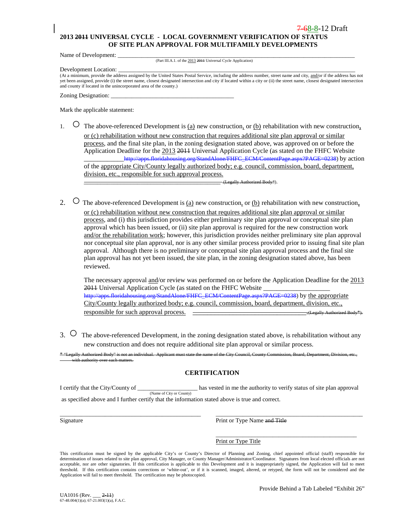#### **2013 2011 UNIVERSAL CYCLE - LOCAL GOVERNMENT VERIFICATION OF STATUS OF SITE PLAN APPROVAL FOR MULTIFAMILY DEVELOPMENTS**

Name of Development:

(Part III.A.1. of the 2013 2011 Universal Cycle Application)

Development Location:

(At a minimum, provide the address assigned by the United States Postal Service, including the address number, street name and city, and/or if the address has not yet been assigned, provide (i) the street name, closest designated intersection and city if located within a city or (ii) the street name, closest designated intersection and county if located in the unincorporated area of the county.)

Zoning Designation:

Mark the applicable statement:

1.  $\circ$  The above-referenced Development is <u>(a)</u> new construction, or <u>(b)</u> rehabilitation with new construction, or (c) rehabilitation without new construction that requires additional site plan approval or similar process, and the final site plan, in the zoning designation stated above, was approved on or before the Application Deadline for the 2013 2011 Universal Application Cycle (as stated on the FHFC Website \_\_\_\_\_\_\_\_\_\_\_[\\_http://apps.floridahousing.org/StandAlone/FHFC\\_ECM/ContentPage.aspx?PAGE=0238\)](http://apps.floridahousing.org/StandAlone/FHFC_ECM/ContentPage.aspx?PAGE=0238) by action of the appropriate City/County legally authorized body; e.g. council, commission, board, department, division, etc., responsible for such approval process.

\_\_\_\_\_\_\_\_\_\_\_\_\_\_\_\_\_\_\_\_\_\_\_\_\_\_\_\_\_\_\_\_\_\_\_\_\_\_\_\_\_ (Legally Authorized Body\*).

2.  $\circ$  The above-referenced Development is (a) new construction, or (b) rehabilitation with new construction, or (c) rehabilitation without new construction that requires additional site plan approval or similar process, and (i) this jurisdiction provides either preliminary site plan approval or conceptual site plan approval which has been issued, or (ii) site plan approval is required for the new construction work and/or the rehabilitation work; however, this jurisdiction provides neither preliminary site plan approval nor conceptual site plan approval, nor is any other similar process provided prior to issuing final site plan approval. Although there is no preliminary or conceptual site plan approval process and the final site plan approval has not yet been issued, the site plan, in the zoning designation stated above, has been reviewed.

The necessary approval and/or review was performed on or before the Application Deadline for the 2013 2011 Universal Application Cycle (as stated on the FHFC Website [http://apps.floridahousing.org/StandAlone/FHFC\\_ECM/ContentPage.aspx?PAGE=0238\)](http://apps.floridahousing.org/StandAlone/FHFC_ECM/ContentPage.aspx?PAGE=0238) by the appropriate City/County legally authorized body; e.g. council, commission, board, department, division, etc., responsible for such approval process. \_\_\_\_\_\_\_\_\_\_\_\_\_\_\_\_\_\_\_\_\_\_\_\_\_\_\_\_\_\_\_.(Legally Authorized Body\*).

3. ○ The above-referenced Development, in the zoning designation stated above, is rehabilitation without any new construction and does not require additional site plan approval or similar process.

dy" is not an individual. Applicant must state the name of the City Council, County Commission, Department, Division, Board, Department, Division, Board, Department, Division, and Superint, Division, Board, Division, etc., ith authority over

### **CERTIFICATION**

I certify that the City/County of \_\_\_\_\_\_\_\_\_\_\_\_\_\_\_\_\_\_\_\_ has vested in me the authority to verify status of site plan approval (Name of City or County) as specified above and I further certify that the information stated above is true and correct.

\_\_\_\_\_\_\_\_\_\_\_\_\_\_\_\_\_\_\_\_\_\_\_\_\_\_\_\_\_\_\_\_\_\_\_\_\_\_\_\_\_\_\_\_\_\_\_ \_\_\_\_\_\_\_\_\_\_\_\_\_\_\_\_\_\_\_\_\_\_\_\_\_\_\_\_\_\_\_\_\_\_\_\_\_\_\_\_\_\_\_\_\_\_\_\_\_ Signature **Print or Type Name and Title** 

> \_\_\_\_\_\_\_\_\_\_\_\_\_\_\_\_\_\_\_\_\_\_\_\_\_\_\_\_\_\_\_\_\_\_\_\_\_\_\_\_\_\_\_\_\_\_\_ Print or Type Title

This certification must be signed by the applicable City's or County's Director of Planning and Zoning, chief appointed official (staff) responsible for determination of issues related to site plan approval, City Manager, or County Manager/Administrator/Coordinator. Signatures from local elected officials are not acceptable, nor are other signatories. If this certification is applicable to this Development and it is inappropriately signed, the Application will fail to meet threshold. If this certification contains corrections or 'white-out', or if it is scanned, imaged, altered, or retyped, the form will not be considered and the Application will fail to meet threshold. The certification may be photocopied.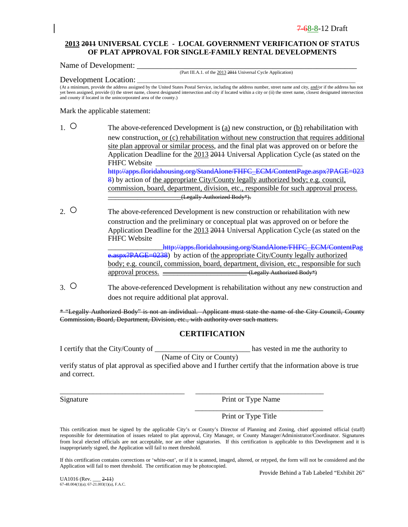### **2013 2011 UNIVERSAL CYCLE - LOCAL GOVERNMENT VERIFICATION OF STATUS OF PLAT APPROVAL FOR SINGLE-FAMILY RENTAL DEVELOPMENTS**

Name of Development:

(Part III.A.1. of the 2013 2011 Universal Cycle Application)

#### Development Location:

(At a minimum, provide the address assigned by the United States Postal Service, including the address number, street name and city, and/or if the address has not yet been assigned, provide (i) the street name, closest designated intersection and city if located within a city or (ii) the street name, closest designated intersection and county if located in the unincorporated area of the county.)

Mark the applicable statement:

- 1. The above-referenced Development is (a) new construction, or (b) rehabilitation with new construction, or (c) rehabilitation without new construction that requires additional site plan approval or similar process, and the final plat was approved on or before the Application Deadline for the 2013 2011 Universal Application Cycle (as stated on the FHFC Website [http://apps.floridahousing.org/StandAlone/FHFC\\_ECM/ContentPage.aspx?PAGE=023](http://apps.floridahousing.org/StandAlone/FHFC_ECM/ContentPage.aspx?PAGE=0238) [8\)](http://apps.floridahousing.org/StandAlone/FHFC_ECM/ContentPage.aspx?PAGE=0238) by action of the appropriate City/County legally authorized body; e.g. council, commission, board, department, division, etc., responsible for such approval process. \_\_\_\_\_\_\_\_\_\_\_\_\_\_\_\_\_\_\_\_(Legally Authorized Body\*).
- 2. O The above-referenced Development is new construction or rehabilitation with new construction and the preliminary or conceptual plat was approved on or before the Application Deadline for the 2013 2011 Universal Application Cycle (as stated on the FHFC Website http://apps.floridahousing.org/StandAlone/FHFC\_ECM/ContentPag

[e.aspx?PAGE=0238\)](http://apps.floridahousing.org/StandAlone/FHFC_ECM/ContentPage.aspx?PAGE=0238) by action of the appropriate City/County legally authorized body; e.g. council, commission, board, department, division, etc., responsible for such approval process.  $\overline{\phantom{a}}$  (Legally Authorized Body\*)

3. ○ The above-referenced Development is rehabilitation without any new construction and does not require additional plat approval.

\* "Legally Authorized Body" is not an individual. Applicant must state the name of the City Council, County Commission, Board, Department, Division, etc., with authority over such matters.

## **CERTIFICATION**

I certify that the City/County of \_\_\_\_\_\_\_\_\_\_\_\_\_\_\_\_\_\_\_\_\_\_\_\_\_\_ has vested in me the authority to

(Name of City or County)

\_\_\_\_\_\_\_\_\_\_\_\_\_\_\_\_\_\_\_\_\_\_\_\_\_\_\_\_\_\_\_\_\_\_ \_\_\_\_\_\_\_\_\_\_\_\_\_\_\_\_\_\_\_\_\_\_\_\_\_\_\_\_\_\_\_\_\_\_\_

verify status of plat approval as specified above and I further certify that the information above is true and correct.

Signature Print or Type Name

\_\_\_\_\_\_\_\_\_\_\_\_\_\_\_\_\_\_\_\_\_\_\_\_\_\_\_\_\_\_\_\_\_\_\_

Print or Type Title

This certification must be signed by the applicable City's or County's Director of Planning and Zoning, chief appointed official (staff) responsible for determination of issues related to plat approval, City Manager, or County Manager/Administrator/Coordinator. Signatures from local elected officials are not acceptable, nor are other signatories. If this certification is applicable to this Development and it is inappropriately signed, the Application will fail to meet threshold.

If this certification contains corrections or 'white-out', or if it is scanned, imaged, altered, or retyped, the form will not be considered and the Application will fail to meet threshold. The certification may be photocopied.

Provide Behind a Tab Labeled "Exhibit 26"

UA1016 (Rev. \_\_\_ 2-11) 67-48.004(1)(a); 67-21.003(1)(a), F.A.C.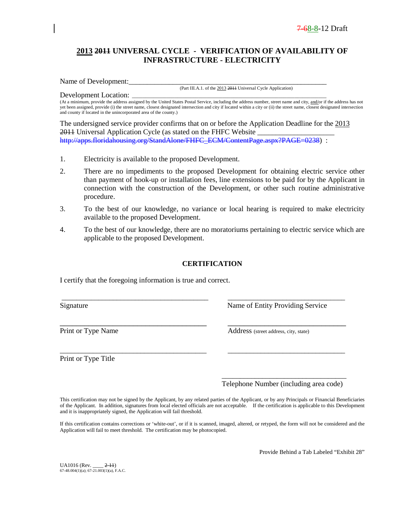# **2013 2011 UNIVERSAL CYCLE - VERIFICATION OF AVAILABILITY OF INFRASTRUCTURE - ELECTRICITY**

Name of Development:

(Part III.A.1. of the 2013 2011 Universal Cycle Application)

Development Location: (At a minimum, provide the address assigned by the United States Postal Service, including the address number, street name and city, and/or if the address has not yet been assigned, provide (i) the street name, closest designated intersection and city if located within a city or (ii) the street name, closest designated intersection and county if located in the unincorporated area of the county.)

The undersigned service provider confirms that on or before the Application Deadline for the 2013 2011 Universal Application Cycle (as stated on the FHFC Website [http://apps.floridahousing.org/StandAlone/FHFC\\_ECM/ContentPage.aspx?PAGE=0238\)](http://apps.floridahousing.org/StandAlone/FHFC_ECM/ContentPage.aspx?PAGE=0238) :

- 1. Electricity is available to the proposed Development.
- 2. There are no impediments to the proposed Development for obtaining electric service other than payment of hook-up or installation fees, line extensions to be paid for by the Applicant in connection with the construction of the Development, or other such routine administrative procedure.
- 3. To the best of our knowledge, no variance or local hearing is required to make electricity available to the proposed Development.
- 4. To the best of our knowledge, there are no moratoriums pertaining to electric service which are applicable to the proposed Development.

### **CERTIFICATION**

\_\_\_\_\_\_\_\_\_\_\_\_\_\_\_\_\_\_\_\_\_\_\_\_\_\_\_\_\_\_\_\_\_\_\_\_\_\_\_\_ \_\_\_\_\_\_\_\_\_\_\_\_\_\_\_\_\_\_\_\_\_\_\_\_\_\_\_\_\_\_\_\_

\_\_\_\_\_\_\_\_\_\_\_\_\_\_\_\_\_\_\_\_\_\_\_\_\_\_\_\_\_\_\_\_\_\_\_\_ \_\_\_\_\_\_\_\_\_\_\_\_\_\_\_\_\_\_\_\_\_\_\_\_\_\_\_\_\_

\_\_\_\_\_\_\_\_\_\_\_\_\_\_\_\_\_\_\_\_\_\_\_\_\_\_\_\_\_\_\_\_\_\_\_\_\_\_\_\_ \_\_\_\_\_\_\_\_\_\_\_\_\_\_\_\_\_\_\_\_\_\_\_\_\_\_\_\_\_\_\_\_

I certify that the foregoing information is true and correct.

Signature Name of Entity Providing Service

Print or Type Name Address (street address, city, state)

Print or Type Title

\_\_\_\_\_\_\_\_\_\_\_\_\_\_\_\_\_\_\_\_\_\_\_\_\_\_\_\_\_\_\_\_\_\_ Telephone Number (including area code)

This certification may not be signed by the Applicant, by any related parties of the Applicant, or by any Principals or Financial Beneficiaries of the Applicant. In addition, signatures from local elected officials are not acceptable. If the certification is applicable to this Development and it is inappropriately signed, the Application will fail threshold.

If this certification contains corrections or 'white-out', or if it is scanned, imaged, altered, or retyped, the form will not be considered and the Application will fail to meet threshold. The certification may be photocopied.

Provide Behind a Tab Labeled "Exhibit 28"

UA1016 (Rev. \_\_\_\_ 2-11)  $67-48.004(1)(a)$ ;  $67-21.003(1)(a)$ , F.A.C.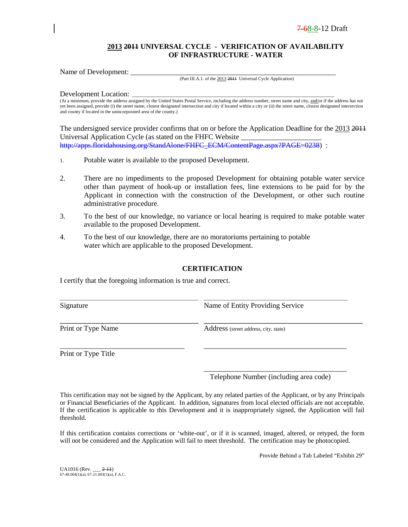### **2013 2011 UNIVERSAL CYCLE - VERIFICATION OF AVAILABILITY OF INFRASTRUCTURE - WATER**

Name of Development:

#### (Part III.A.1. of the 2013 2011 Universal Cycle Application)

Development Location:

(At a minimum, provide the address assigned by the United States Postal Service, including the address number, street name and city, and/or if the address has not yet been assigned, provide (i) the street name, closest designated intersection and city if located within a city or (ii) the street name, closest designated intersection and county if located in the unincorporated area of the county.)

The undersigned service provider confirms that on or before the Application Deadline for the 2013 2011 Universal Application Cycle (as stated on the FHFC Website [http://apps.floridahousing.org/StandAlone/FHFC\\_ECM/ContentPage.aspx?PAGE=0238\)](http://apps.floridahousing.org/StandAlone/FHFC_ECM/ContentPage.aspx?PAGE=0238) :

- 1. Potable water is available to the proposed Development.
- 2. There are no impediments to the proposed Development for obtaining potable water service other than payment of hook-up or installation fees, line extensions to be paid for by the Applicant in connection with the construction of the Development, or other such routine administrative procedure.
- 3. To the best of our knowledge, no variance or local hearing is required to make potable water available to the proposed Development.
- 4. To the best of our knowledge, there are no moratoriums pertaining to potable water which are applicable to the proposed Development.

### **CERTIFICATION**

I certify that the foregoing information is true and correct.

| Signature          | Name of Entity Providing Service      |  |  |  |  |
|--------------------|---------------------------------------|--|--|--|--|
| Print or Type Name | Address (street address, city, state) |  |  |  |  |
|                    |                                       |  |  |  |  |

Print or Type Title

\_\_\_\_\_\_\_\_\_\_\_\_\_\_\_\_\_\_\_\_\_\_\_\_\_\_\_\_\_\_\_\_\_\_\_\_\_\_\_ Telephone Number (including area code)

This certification may not be signed by the Applicant, by any related parties of the Applicant, or by any Principals or Financial Beneficiaries of the Applicant. In addition, signatures from local elected officials are not acceptable. If the certification is applicable to this Development and it is inappropriately signed, the Application will fail threshold.

If this certification contains corrections or 'white-out', or if it is scanned, imaged, altered, or retyped, the form will not be considered and the Application will fail to meet threshold. The certification may be photocopied.

Provide Behind a Tab Labeled "Exhibit 29"

UA1016 (Rev. \_\_\_ 2-11) 67-48.004(1)(a); 67-21.003(1)(a), F.A.C.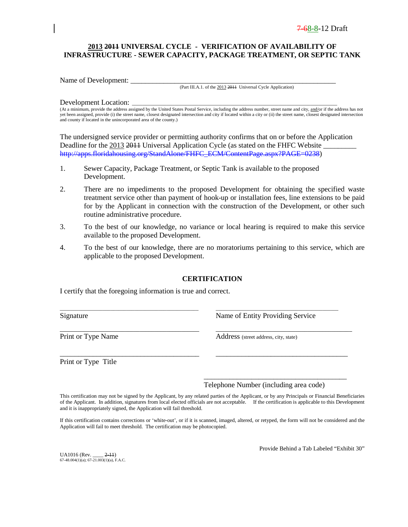## **2013 2011 UNIVERSAL CYCLE - VERIFICATION OF AVAILABILITY OF INFRASTRUCTURE - SEWER CAPACITY, PACKAGE TREATMENT, OR SEPTIC TANK**

Name of Development:

(Part III.A.1. of the 2013 2011 Universal Cycle Application)

#### Development Location:

(At a minimum, provide the address assigned by the United States Postal Service, including the address number, street name and city, and/or if the address has not yet been assigned, provide (i) the street name, closest designated intersection and city if located within a city or (ii) the street name, closest designated intersection and county if located in the unincorporated area of the county.)

The undersigned service provider or permitting authority confirms that on or before the Application Deadline for the 2013 2011 Universal Application Cycle (as stated on the FHFC Website [http://apps.floridahousing.org/StandAlone/FHFC\\_ECM/ContentPage.aspx?PAGE=0238\)](http://apps.floridahousing.org/StandAlone/FHFC_ECM/ContentPage.aspx?PAGE=0238)

- 1. Sewer Capacity, Package Treatment, or Septic Tank is available to the proposed Development.
- 2. There are no impediments to the proposed Development for obtaining the specified waste treatment service other than payment of hook-up or installation fees, line extensions to be paid for by the Applicant in connection with the construction of the Development, or other such routine administrative procedure.
- 3. To the best of our knowledge, no variance or local hearing is required to make this service available to the proposed Development.
- 4. To the best of our knowledge, there are no moratoriums pertaining to this service, which are applicable to the proposed Development.

### **CERTIFICATION**

\_\_\_\_\_\_\_\_\_\_\_\_\_\_\_\_\_\_\_\_\_\_\_\_\_\_\_\_\_\_\_\_\_\_\_\_\_\_\_\_\_\_\_\_\_\_\_\_\_\_\_\_ \_\_\_\_\_\_\_\_\_\_\_\_\_\_\_\_\_\_\_\_\_\_\_\_\_\_\_\_\_\_\_\_\_\_\_\_\_\_\_\_\_\_\_\_\_\_

\_\_\_\_\_\_\_\_\_\_\_\_\_\_\_\_\_\_\_\_\_\_\_\_\_\_\_\_\_\_\_\_\_\_\_\_\_\_\_\_\_\_\_\_\_\_\_ \_\_\_\_\_\_\_\_\_\_\_\_\_\_\_\_\_\_\_\_\_\_\_\_\_\_\_\_\_\_\_\_\_\_\_\_\_\_\_\_\_\_\_\_\_\_

\_\_\_\_\_\_\_\_\_\_\_\_\_\_\_\_\_\_\_\_\_\_\_\_\_\_\_\_\_\_\_\_\_\_\_\_\_\_ \_\_\_\_\_\_\_\_\_\_\_\_\_\_\_\_\_\_\_\_\_\_\_\_\_\_\_\_\_\_\_\_\_\_\_\_

I certify that the foregoing information is true and correct.

Signature **Name of Entity Providing Service** Research Name of Entity Providing Service

Print or Type Name<br>
Address (street address, city, state)

Print or Type Title

Telephone Number (including area code)

\_\_\_\_\_\_\_\_\_\_\_\_\_\_\_\_\_\_\_\_\_\_\_\_\_\_\_\_\_\_\_\_\_\_\_\_\_\_\_

This certification may not be signed by the Applicant, by any related parties of the Applicant, or by any Principals or Financial Beneficiaries of the Applicant. In addition, signatures from local elected officials are not acceptable. If the certification is applicable to this Development and it is inappropriately signed, the Application will fail threshold.

If this certification contains corrections or 'white-out', or if it is scanned, imaged, altered, or retyped, the form will not be considered and the Application will fail to meet threshold. The certification may be photocopied.

 $UA1016$  (Rev.  $2-11$ ) 67-48.004(1)(a); 67-21.003(1)(a), F.A.C. Provide Behind a Tab Labeled "Exhibit 30"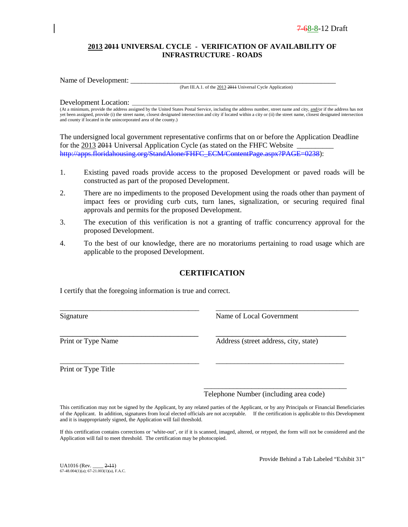### **2013 2011 UNIVERSAL CYCLE - VERIFICATION OF AVAILABILITY OF INFRASTRUCTURE - ROADS**

Name of Development:

(Part III.A.1. of the 2013 2011 Universal Cycle Application)

#### Development Location:

(At a minimum, provide the address assigned by the United States Postal Service, including the address number, street name and city, and/or if the address has not yet been assigned, provide (i) the street name, closest designated intersection and city if located within a city or (ii) the street name, closest designated intersection and county if located in the unincorporated area of the county.)

The undersigned local government representative confirms that on or before the Application Deadline for the 2013 2014 Universal Application Cycle (as stated on the FHFC Website [http://apps.floridahousing.org/StandAlone/FHFC\\_ECM/ContentPage.aspx?PAGE=0238\)](http://apps.floridahousing.org/StandAlone/FHFC_ECM/ContentPage.aspx?PAGE=0238):

- 1. Existing paved roads provide access to the proposed Development or paved roads will be constructed as part of the proposed Development.
- 2. There are no impediments to the proposed Development using the roads other than payment of impact fees or providing curb cuts, turn lanes, signalization, or securing required final approvals and permits for the proposed Development.
- 3. The execution of this verification is not a granting of traffic concurrency approval for the proposed Development.
- 4. To the best of our knowledge, there are no moratoriums pertaining to road usage which are applicable to the proposed Development.

# **CERTIFICATION**

\_\_\_\_\_\_\_\_\_\_\_\_\_\_\_\_\_\_\_\_\_\_\_\_\_\_\_\_\_\_\_\_\_\_\_\_\_\_ \_\_\_\_\_\_\_\_\_\_\_\_\_\_\_\_\_\_\_\_\_\_\_\_\_\_\_\_\_\_\_\_\_\_\_\_\_\_\_

\_\_\_\_\_\_\_\_\_\_\_\_\_\_\_\_\_\_\_\_\_\_\_\_\_\_\_\_\_\_\_\_\_\_\_\_\_\_ \_\_\_\_\_\_\_\_\_\_\_\_\_\_\_\_\_\_\_\_\_\_\_\_\_\_\_\_\_\_\_\_\_\_\_

I certify that the foregoing information is true and correct.

Signature Name of Local Government

\_\_\_\_\_\_\_\_\_\_\_\_\_\_\_\_\_\_\_\_\_\_\_\_\_\_\_\_\_\_\_\_\_\_ \_\_\_\_\_\_\_\_\_\_\_\_\_\_\_\_\_\_\_\_\_\_\_\_\_\_\_\_\_\_\_\_ Print or Type Name Address (street address, city, state)

Print or Type Title

\_\_\_\_\_\_\_\_\_\_\_\_\_\_\_\_\_\_\_\_\_\_\_\_\_\_\_\_\_\_\_\_\_\_\_\_\_\_\_ Telephone Number (including area code)

This certification may not be signed by the Applicant, by any related parties of the Applicant, or by any Principals or Financial Beneficiaries of the Applicant. In addition, signatures from local elected officials are not acceptable. If the certification is applicable to this Development and it is inappropriately signed, the Application will fail threshold.

If this certification contains corrections or 'white-out', or if it is scanned, imaged, altered, or retyped, the form will not be considered and the Application will fail to meet threshold. The certification may be photocopied.

UA1016 (Rev. \_\_\_\_ 2-11)  $67-48.004(1)(a)$ ;  $67-21.003(1)(a)$ , F.A.C. Provide Behind a Tab Labeled "Exhibit 31"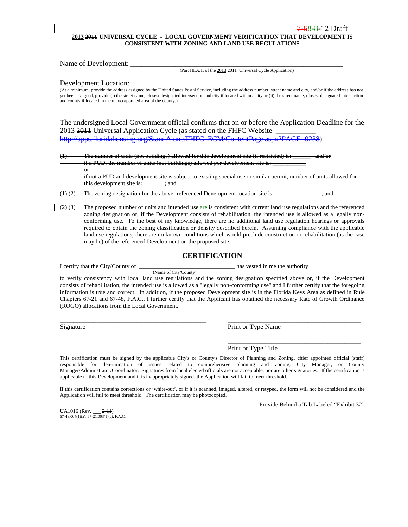#### **2013 2011 UNIVERSAL CYCLE - LOCAL GOVERNMENT VERIFICATION THAT DEVELOPMENT IS CONSISTENT WITH ZONING AND LAND USE REGULATIONS**

Name of Development:

(Part III.A.1. of the 2013 2011 Universal Cycle Application)

Development Location:

or

(At a minimum, provide the address assigned by the United States Postal Service, including the address number, street name and city, and/or if the address has not yet been assigned, provide (i) the street name, closest designated intersection and city if located within a city or (ii) the street name, closest designated intersection and county if located in the unincorporated area of the county.)

The undersigned Local Government official confirms that on or before the Application Deadline for the 2013 2014 Universal Application Cycle (as stated on the FHFC Website [http://apps.floridahousing.org/StandAlone/FHFC\\_ECM/ContentPage.aspx?PAGE=0238\)](http://apps.floridahousing.org/StandAlone/FHFC_ECM/ContentPage.aspx?PAGE=0238):

 $(1)$  The number of units (not buildings) allowed for this development site (if restricted) is: if a PUD, the number of units (not buildings) allowed per development site is:

if not a PUD and development site is subject to existing special use or similar permit, number of units allowed for this development site is: \_\_\_\_\_\_; and

 $(1)$  (2) The zoning designation for the above- referenced Development location site is \_\_\_\_\_\_\_\_\_\_\_; and

(Name of City/County)

 $(2)$   $(3)$  The proposed number of units and intended use are is consistent with current land use regulations and the referenced zoning designation or, if the Development consists of rehabilitation, the intended use is allowed as a legally nonconforming use. To the best of my knowledge, there are no additional land use regulation hearings or approvals required to obtain the zoning classification or density described herein. Assuming compliance with the applicable land use regulations, there are no known conditions which would preclude construction or rehabilitation (as the case may be) of the referenced Development on the proposed site.

#### **CERTIFICATION**

I certify that the City/County of \_\_\_\_\_\_\_\_\_\_\_\_\_\_\_\_\_\_\_\_\_\_\_\_\_\_\_\_\_\_\_\_ has vested in me the authority

to verify consistency with local land use regulations and the zoning designation specified above or, if the Development consists of rehabilitation, the intended use is allowed as a "legally non-conforming use" and I further certify that the foregoing information is true and correct. In addition, if the proposed Development site is in the Florida Keys Area as defined in Rule Chapters 67-21 and 67-48, F.A.C., I further certify that the Applicant has obtained the necessary Rate of Growth Ordinance (ROGO) allocations from the Local Government.

\_\_\_\_\_\_\_\_\_\_\_\_\_\_\_\_\_\_\_\_\_\_\_\_\_\_\_\_\_\_\_\_\_\_\_\_\_\_\_\_\_\_\_\_ \_\_\_\_\_\_\_\_\_\_\_\_\_\_\_\_\_\_\_\_\_\_\_\_\_\_\_\_\_\_\_\_\_\_\_\_\_\_\_\_

Signature Print or Type Name

Print or Type Title

This certification must be signed by the applicable City's or County's Director of Planning and Zoning, chief appointed official (staff) responsible for determination of issues related to comprehensive planning and zoning, City Manager, or County Manager/Administrator/Coordinator. Signatures from local elected officials are not acceptable, nor are other signatories. If the certification is applicable to this Development and it is inappropriately signed, the Application will fail to meet threshold.

If this certification contains corrections or 'white-out', or if it is scanned, imaged, altered, or retyped, the form will not be considered and the Application will fail to meet threshold. The certification may be photocopied.

Provide Behind a Tab Labeled "Exhibit 32"

\_\_\_\_\_\_\_\_\_\_\_\_\_\_\_\_\_\_\_\_\_\_\_\_\_\_\_\_\_\_\_\_\_\_\_\_\_\_\_\_

UA1016 (Rev. \_\_\_ 2-11) 67-48.004(1)(a); 67-21.003(1)(a), F.A.C.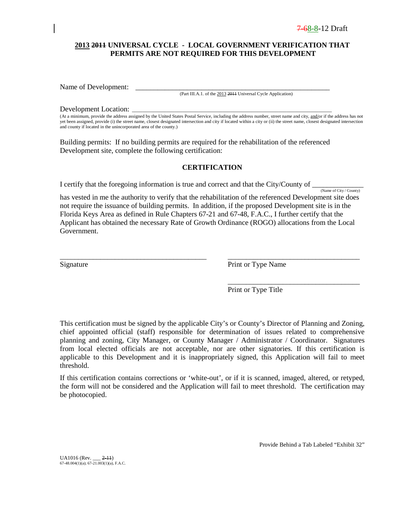### **2013 2011 UNIVERSAL CYCLE - LOCAL GOVERNMENT VERIFICATION THAT PERMITS ARE NOT REQUIRED FOR THIS DEVELOPMENT**

Name of Development:

(Part III.A.1. of the 2013 2011 Universal Cycle Application)

#### Development Location:

(At a minimum, provide the address assigned by the United States Postal Service, including the address number, street name and city, and/or if the address has not yet been assigned, provide (i) the street name, closest designated intersection and city if located within a city or (ii) the street name, closest designated intersection and county if located in the unincorporated area of the county.)

Building permits: If no building permits are required for the rehabilitation of the referenced Development site, complete the following certification:

### **CERTIFICATION**

I certify that the foregoing information is true and correct and that the City/County of  $\frac{N_{\text{ame of City}/\text{Country}}}{N_{\text{amp of City}/\text{Country}}}$ 

has vested in me the authority to verify that the rehabilitation of the referenced Development site does not require the issuance of building permits. In addition, if the proposed Development site is in the Florida Keys Area as defined in Rule Chapters 67-21 and 67-48, F.A.C., I further certify that the Applicant has obtained the necessary Rate of Growth Ordinance (ROGO) allocations from the Local Government.

\_\_\_\_\_\_\_\_\_\_\_\_\_\_\_\_\_\_\_\_\_\_\_\_\_\_\_\_\_\_\_\_\_\_\_\_\_\_\_\_ \_\_\_\_\_\_\_\_\_\_\_\_\_\_\_\_\_\_\_\_\_\_\_\_\_\_\_\_\_\_\_\_\_\_\_\_

Signature Print or Type Name

Print or Type Title

\_\_\_\_\_\_\_\_\_\_\_\_\_\_\_\_\_\_\_\_\_\_\_\_\_\_\_\_\_\_\_\_\_\_\_\_

This certification must be signed by the applicable City's or County's Director of Planning and Zoning, chief appointed official (staff) responsible for determination of issues related to comprehensive planning and zoning, City Manager, or County Manager / Administrator / Coordinator. Signatures from local elected officials are not acceptable, nor are other signatories. If this certification is applicable to this Development and it is inappropriately signed, this Application will fail to meet threshold.

If this certification contains corrections or 'white-out', or if it is scanned, imaged, altered, or retyped, the form will not be considered and the Application will fail to meet threshold. The certification may be photocopied.

Provide Behind a Tab Labeled "Exhibit 32"

UA1016 (Rev. \_\_\_ 2-11) 67-48.004(1)(a); 67-21.003(1)(a), F.A.C.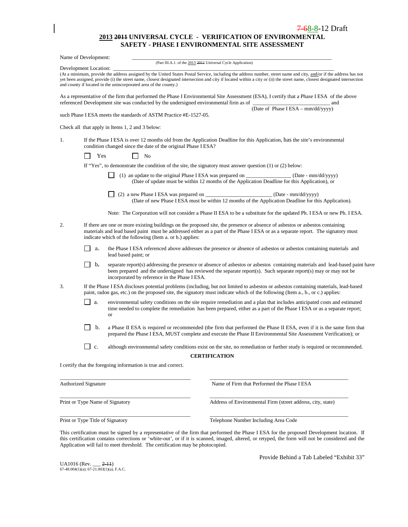#### **2013 2011 UNIVERSAL CYCLE - VERIFICATION OF ENVIRONMENTAL SAFETY - PHASE I ENVIRONMENTAL SITE ASSESSMENT**

|    | Name of Development:  |                                 | (Part III.A.1. of the 2013 2011 Universal Cycle Application)      |                                                                                                                                                                                                                                                                                                                                                  |
|----|-----------------------|---------------------------------|-------------------------------------------------------------------|--------------------------------------------------------------------------------------------------------------------------------------------------------------------------------------------------------------------------------------------------------------------------------------------------------------------------------------------------|
|    | Development Location: |                                 | and county if located in the unincorporated area of the county.)  | (At a minimum, provide the address assigned by the United States Postal Service, including the address number, street name and city, and/or if the address has not<br>yet been assigned, provide (i) the street name, closest designated intersection and city if located within a city or (ii) the street name, closest designated intersection |
|    |                       |                                 |                                                                   | As a representative of the firm that performed the Phase I Environmental Site Assessment (ESA), I certify that a Phase I ESA of the above<br>referenced Development site was conducted by the undersigned environmental firm as of<br>and                                                                                                        |
|    |                       |                                 | such Phase I ESA meets the standards of ASTM Practice #E-1527-05. | (Date of Phase I ESA – mm/dd/yyyy)                                                                                                                                                                                                                                                                                                               |
|    |                       |                                 | Check all that apply in Items 1, 2 and 3 below:                   |                                                                                                                                                                                                                                                                                                                                                  |
| 1. |                       |                                 | condition changed since the date of the original Phase I ESA?     | If the Phase I ESA is over 12 months old from the Application Deadline for this Application, has the site's environmental                                                                                                                                                                                                                        |
|    | Yes                   |                                 | No                                                                |                                                                                                                                                                                                                                                                                                                                                  |
|    |                       |                                 |                                                                   | If "Yes", to demonstrate the condition of the site, the signatory must answer question $(1)$ or $(2)$ below:                                                                                                                                                                                                                                     |
|    |                       |                                 |                                                                   | (1) an update to the original Phase I ESA was prepared on ___________________ (Date - mm/dd/yyyy)<br>(Date of update must be within 12 months of the Application Deadline for this Application), or                                                                                                                                              |
|    |                       |                                 |                                                                   | (2) a new Phase I ESA was prepared on _____________________________(Date - mm/dd/yyyy)<br>(Date of new Phase I ESA must be within 12 months of the Application Deadline for this Application).                                                                                                                                                   |
|    |                       |                                 |                                                                   | Note: The Corporation will not consider a Phase II ESA to be a substitute for the updated Ph. I ESA or new Ph. I ESA.                                                                                                                                                                                                                            |
| 2. |                       |                                 | indicate which of the following (Item a. or b.) applies:          | If there are one or more existing buildings on the proposed site, the presence or absence of asbestos or asbestos containing<br>materials and lead based paint must be addressed either as a part of the Phase IESA or as a separate report. The signatory must                                                                                  |
|    | a.                    | lead based paint; or            |                                                                   | the Phase I ESA referenced above addresses the presence or absence of asbestos or asbestos containing materials and                                                                                                                                                                                                                              |
|    | $\mathbf{b}$ .        |                                 | incorporated by reference in the Phase I ESA.                     | separate report(s) addressing the presence or absence of asbestos or asbestos containing materials and lead-based paint have<br>been prepared and the undersigned has reviewed the separate report(s). Such separate report(s) may or may not be                                                                                                 |
| 3. |                       |                                 |                                                                   | If the Phase I ESA discloses potential problems (including, but not limited to asbestos or asbestos containing materials, lead-based<br>paint, radon gas, etc.) on the proposed site, the signatory must indicate which of the following (Item a., b., or c.) applies:                                                                           |
|    | a.                    | <b>or</b>                       |                                                                   | environmental safety conditions on the site require remediation and a plan that includes anticipated costs and estimated<br>time needed to complete the remediation has been prepared, either as a part of the Phase I ESA or as a separate report;                                                                                              |
|    | b.                    |                                 |                                                                   | a Phase II ESA is required or recommended (the firm that performed the Phase II ESA, even if it is the same firm that<br>prepared the Phase I ESA, MUST complete and execute the Phase II Environmental Site Assessment Verification); or                                                                                                        |
|    |                       |                                 |                                                                   | c. although environmental safety conditions exist on the site, no remediation or further study is required or recommended.                                                                                                                                                                                                                       |
|    |                       |                                 |                                                                   | <b>CERTIFICATION</b>                                                                                                                                                                                                                                                                                                                             |
|    |                       |                                 | I certify that the foregoing information is true and correct.     |                                                                                                                                                                                                                                                                                                                                                  |
|    | Authorized Signature  |                                 |                                                                   | Name of Firm that Performed the Phase I ESA                                                                                                                                                                                                                                                                                                      |
|    |                       | Print or Type Name of Signatory |                                                                   | Address of Environmental Firm (street address, city, state)                                                                                                                                                                                                                                                                                      |

Print or Type Title of Signatory Telephone Number Including Area Code

This certification must be signed by a representative of the firm that performed the Phase I ESA for the proposed Development location.If this certification contains corrections or 'white-out', or if it is scanned, imaged, altered, or retyped, the form will not be considered and the Application will fail to meet threshold. The certification may be photocopied.

\_\_\_\_\_\_\_\_\_\_\_\_\_\_\_\_\_\_\_\_\_\_\_\_\_\_\_\_\_\_\_\_\_\_\_\_\_\_\_\_\_\_\_\_\_\_\_\_\_ \_\_\_\_\_\_\_\_\_\_\_\_\_\_\_\_\_\_\_\_\_\_\_\_\_\_\_\_\_\_\_\_\_\_\_\_\_\_\_\_\_\_\_\_\_\_\_\_\_\_\_\_

UA1016 (Rev. \_\_\_ <del>2-11</del>)<br>67-48.004(1)(a); 67-21.003(1)(a), F.A.C.

Provide Behind a Tab Labeled "Exhibit 33"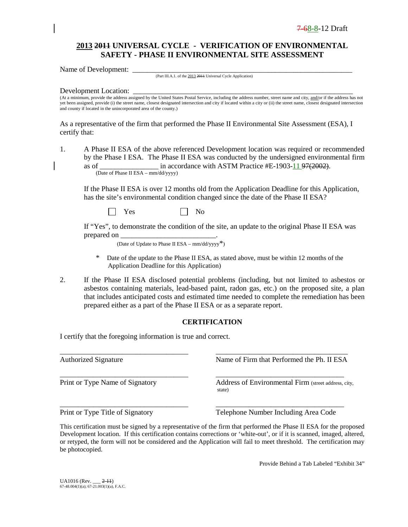# **2013 2011 UNIVERSAL CYCLE - VERIFICATION OF ENVIRONMENTAL SAFETY - PHASE II ENVIRONMENTAL SITE ASSESSMENT**

Name of Development:

(Part III.A.1. of the 2013 2011 Universal Cycle Application)

#### Development Location:

(At a minimum, provide the address assigned by the United States Postal Service, including the address number, street name and city, and/or if the address has not yet been assigned, provide (i) the street name, closest designated intersection and city if located within a city or (ii) the street name, closest designated intersection and county if located in the unincorporated area of the county.)

As a representative of the firm that performed the Phase II Environmental Site Assessment (ESA), I certify that:

1. A Phase II ESA of the above referenced Development location was required or recommended by the Phase I ESA. The Phase II ESA was conducted by the undersigned environmental firm as of  $\frac{1}{2}$  in accordance with ASTM Practice #E-1903-11 97(2002). (Date of Phase II ESA – mm/dd/yyyy)

If the Phase II ESA is over 12 months old from the Application Deadline for this Application, has the site's environmental condition changed since the date of the Phase II ESA?

 $Yes \t\t \Box No$ 

If "Yes", to demonstrate the condition of the site, an update to the original Phase II ESA was prepared on

(Date of Update to Phase II ESA –  $mm/dd/yyyy^*$ )

- Date of the update to the Phase II ESA, as stated above, must be within 12 months of the Application Deadline for this Application)
- 2. If the Phase II ESA disclosed potential problems (including, but not limited to asbestos or asbestos containing materials, lead-based paint, radon gas, etc.) on the proposed site, a plan that includes anticipated costs and estimated time needed to complete the remediation has been prepared either as a part of the Phase II ESA or as a separate report.

### **CERTIFICATION**

I certify that the foregoing information is true and correct.

\_\_\_\_\_\_\_\_\_\_\_\_\_\_\_\_\_\_\_\_\_\_\_\_\_\_\_\_\_\_\_\_\_\_\_ \_\_\_\_\_\_\_\_\_\_\_\_\_\_\_\_\_\_\_\_\_\_\_\_\_\_\_\_\_\_\_\_\_\_\_\_ Authorized Signature The Name of Firm that Performed the Ph. II ESA \_\_\_\_\_\_\_\_\_\_\_\_\_\_\_\_\_\_\_\_\_\_\_\_\_\_\_\_\_\_\_\_\_\_\_ \_\_\_\_\_\_\_\_\_\_\_\_\_\_\_\_\_\_\_\_\_\_\_\_\_\_\_\_\_\_\_\_\_\_\_ Print or Type Name of Signatory **Address of Environmental Firm** (street address, city, state) \_\_\_\_\_\_\_\_\_\_\_\_\_\_\_\_\_\_\_\_\_\_\_\_\_\_\_\_\_\_\_\_\_\_\_ \_\_\_\_\_\_\_\_\_\_\_\_\_\_\_\_\_\_\_\_\_\_\_\_\_\_\_\_\_\_\_\_\_\_\_ Print or Type Title of Signatory Telephone Number Including Area Code

This certification must be signed by a representative of the firm that performed the Phase II ESA for the proposed Development location.If this certification contains corrections or 'white-out', or if it is scanned, imaged, altered, or retyped, the form will not be considered and the Application will fail to meet threshold. The certification may be photocopied.

Provide Behind a Tab Labeled "Exhibit 34"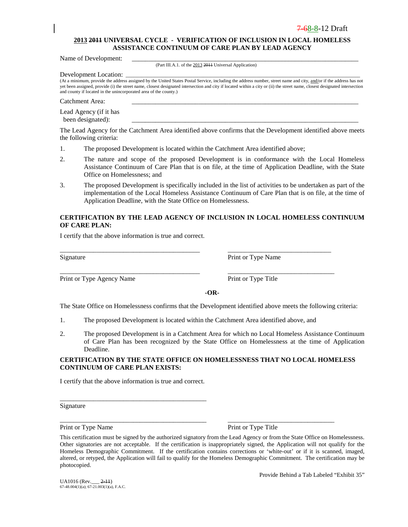### **2013 2011 UNIVERSAL CYCLE - VERIFICATION OF INCLUSION IN LOCAL HOMELESS ASSISTANCE CONTINUUM OF CARE PLAN BY LEAD AGENCY**

Name of Development:

(Part III.A.1. of the 2013 2011 Universal Application)

Development Location:

(At a minimum, provide the address assigned by the United States Postal Service, including the address number, street name and city, and/or if the address has not yet been assigned, provide (i) the street name, closest designated intersection and city if located within a city or (ii) the street name, closest designated intersection and county if located in the unincorporated area of the county.)

Catchment Area:

Lead Agency (if it has been designated):

The Lead Agency for the Catchment Area identified above confirms that the Development identified above meets the following criteria:

- 1. The proposed Development is located within the Catchment Area identified above;
- 2. The nature and scope of the proposed Development is in conformance with the Local Homeless Assistance Continuum of Care Plan that is on file, at the time of Application Deadline, with the State Office on Homelessness; and
- 3. The proposed Development is specifically included in the list of activities to be undertaken as part of the implementation of the Local Homeless Assistance Continuum of Care Plan that is on file, at the time of Application Deadline, with the State Office on Homelessness.

### **CERTIFICATION BY THE LEAD AGENCY OF INCLUSION IN LOCAL HOMELESS CONTINUUM OF CARE PLAN:**

I certify that the above information is true and correct.

Print or Type Agency Name Print or Type Title

Signature Print or Type Name

**-OR-**

The State Office on Homelessness confirms that the Development identified above meets the following criteria:

1. The proposed Development is located within the Catchment Area identified above, and

\_\_\_\_\_\_\_\_\_\_\_\_\_\_\_\_\_\_\_\_\_\_\_\_\_\_\_\_\_\_\_\_\_\_\_\_\_\_\_\_\_\_ \_\_\_\_\_\_\_\_\_\_\_\_\_\_\_\_\_\_\_\_\_\_\_\_\_\_\_\_\_\_\_

\_\_\_\_\_\_\_\_\_\_\_\_\_\_\_\_\_\_\_\_\_\_\_\_\_\_\_\_\_\_\_\_\_\_\_\_\_\_\_\_\_\_ \_\_\_\_\_\_\_\_\_\_\_\_\_\_\_\_\_\_\_\_\_\_\_\_\_\_\_\_\_\_\_\_

2. The proposed Development is in a Catchment Area for which no Local Homeless Assistance Continuum of Care Plan has been recognized by the State Office on Homelessness at the time of Application Deadline.

#### **CERTIFICATION BY THE STATE OFFICE ON HOMELESSNESS THAT NO LOCAL HOMELESS CONTINUUM OF CARE PLAN EXISTS:**

I certify that the above information is true and correct.

\_\_\_\_\_\_\_\_\_\_\_\_\_\_\_\_\_\_\_\_\_\_\_\_\_\_\_\_\_\_\_\_\_\_\_\_\_\_\_\_\_\_\_\_

Signature

Print or Type Name Print or Type Title

\_\_\_\_\_\_\_\_\_\_\_\_\_\_\_\_\_\_\_\_\_\_\_\_\_\_\_\_\_\_\_\_\_\_\_\_\_\_\_\_\_\_\_\_ \_\_\_\_\_\_\_\_\_\_\_\_\_\_\_\_\_\_\_\_\_\_\_\_\_\_\_\_\_\_\_\_

Provide Behind a Tab Labeled "Exhibit 35"

This certification must be signed by the authorized signatory from the Lead Agency or from the State Office on Homelessness. Other signatories are not acceptable. If the certification is inappropriately signed, the Application will not qualify for the Homeless Demographic Commitment. If the certification contains corrections or 'white-out' or if it is scanned, imaged, altered, or retyped, the Application will fail to qualify for the Homeless Demographic Commitment. The certification may be photocopied.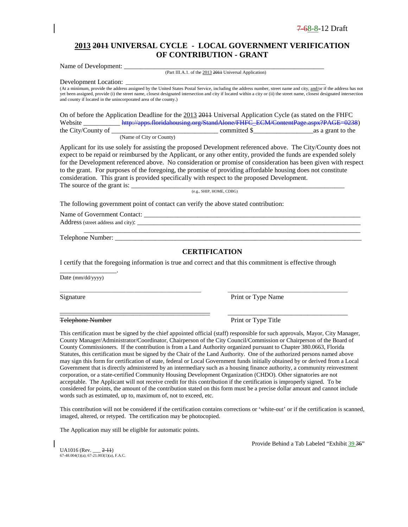# **2013 2011 UNIVERSAL CYCLE - LOCAL GOVERNMENT VERIFICATION OF CONTRIBUTION - GRANT**

Name of Development: \_\_\_\_\_\_\_\_\_\_\_\_\_\_\_\_\_\_\_\_\_\_\_\_\_\_\_\_\_\_\_\_\_\_\_\_\_\_\_\_\_\_\_\_\_\_\_\_\_\_\_\_\_\_\_\_\_\_\_\_

(Part III.A.1. of the 2013 2011 Universal Application)

Development Location:

(At a minimum, provide the address assigned by the United States Postal Service, including the address number, street name and city, and/or if the address has not yet been assigned, provide (i) the street name, closest designated intersection and city if located within a city or (ii) the street name, closest designated intersection and county if located in the unincorporated area of the county.)

On of before the Application Deadline for the 2013 2011 Universal Application Cycle (as stated on the FHFC Website \_\_\_\_\_\_\_\_\_\_\_ [http://apps.floridahousing.org/StandAlone/FHFC\\_ECM/ContentPage.aspx?PAGE=0238\)](http://apps.floridahousing.org/StandAlone/FHFC_ECM/ContentPage.aspx?PAGE=0238) the City/County of \_\_\_\_\_\_\_\_\_\_\_\_\_\_\_\_\_\_\_\_\_\_\_\_\_\_\_\_\_\_\_\_ committed \$\_\_\_\_\_\_\_\_\_\_\_\_\_\_\_\_\_\_as a grant to the

(Name of City or County)

Applicant for its use solely for assisting the proposed Development referenced above. The City/County does not expect to be repaid or reimbursed by the Applicant, or any other entity, provided the funds are expended solely for the Development referenced above. No consideration or promise of consideration has been given with respect to the grant. For purposes of the foregoing, the promise of providing affordable housing does not constitute consideration. This grant is provided specifically with respect to the proposed Development. The source of the grant is:  $\frac{1}{\frac{1}{2} \cdot \frac{1}{2} \cdot \frac{1}{2} \cdot \frac{1}{2} \cdot \frac{1}{2} \cdot \frac{1}{2} \cdot \frac{1}{2} \cdot \frac{1}{2} \cdot \frac{1}{2} \cdot \frac{1}{2} \cdot \frac{1}{2} \cdot \frac{1}{2} \cdot \frac{1}{2} \cdot \frac{1}{2} \cdot \frac{1}{2} \cdot \frac{1}{2} \cdot \frac{1}{2} \cdot \frac{1}{2} \cdot \frac{1}{2} \cdot \frac{1}{2} \cdot \frac{1}{2}$ 

(e.g., SHIP, HOME, CDBG)

The following government point of contact can verify the above stated contribution:

Name of Government Contact: Address (street address and city): \_\_\_\_\_\_\_\_\_\_\_\_\_\_\_\_\_\_\_\_\_\_\_\_\_\_\_\_\_\_\_\_\_\_\_\_\_\_\_\_\_\_\_\_\_\_\_\_\_\_\_\_\_\_\_\_\_\_\_\_\_\_\_\_\_\_\_

Telephone Number:

### **CERTIFICATION**

\_\_\_\_\_\_\_\_\_\_\_\_\_\_\_\_\_\_\_\_\_\_\_\_\_\_\_\_\_\_\_\_\_\_\_\_\_\_\_\_\_\_\_\_\_\_\_\_\_\_\_\_\_\_\_\_\_\_\_\_\_\_\_\_\_\_\_\_\_\_\_\_\_\_\_\_\_\_\_\_\_\_\_

I certify that the foregoing information is true and correct and that this commitment is effective through

\_\_\_\_\_\_\_\_\_\_\_\_\_\_\_\_\_\_\_\_\_\_\_\_\_\_\_\_\_\_\_\_\_\_\_\_\_\_\_\_\_\_\_\_\_\_\_\_\_\_\_\_\_ \_\_\_\_\_\_\_\_\_\_\_\_\_\_\_\_\_\_\_\_\_\_\_\_\_\_\_\_\_\_\_\_\_\_\_\_\_\_\_\_\_\_\_\_\_

\_\_\_\_\_\_\_\_\_\_\_\_\_\_\_\_\_\_\_\_\_\_\_\_\_\_\_\_\_\_\_\_\_\_\_\_\_\_\_\_\_\_\_\_\_ \_\_\_\_\_\_\_\_\_\_\_\_\_\_\_\_\_\_\_\_\_\_\_\_\_\_\_\_\_\_\_\_\_\_\_\_

Date (mm/dd/yyyy)

\_\_\_\_\_\_\_\_\_\_\_\_\_\_\_\_\_.

Signature Print or Type Name

Telephone Number Print or Type Title

This certification must be signed by the chief appointed official (staff) responsible for such approvals, Mayor, City Manager, County Manager/Administrator/Coordinator, Chairperson of the City Council/Commission or Chairperson of the Board of County Commissioners. If the contribution is from a Land Authority organized pursuant to Chapter 380.0663, Florida Statutes, this certification must be signed by the Chair of the Land Authority. One of the authorized persons named above may sign this form for certification of state, federal or Local Government funds initially obtained by or derived from a Local Government that is directly administered by an intermediary such as a housing finance authority, a community reinvestment corporation, or a state-certified Community Housing Development Organization (CHDO). Other signatories are not acceptable. The Applicant will not receive credit for this contribution if the certification is improperly signed. To be considered for points, the amount of the contribution stated on this form must be a precise dollar amount and cannot include words such as estimated, up to, maximum of, not to exceed, etc.

This contribution will not be considered if the certification contains corrections or 'white-out' or if the certification is scanned, imaged, altered, or retyped. The certification may be photocopied.

The Application may still be eligible for automatic points.

Provide Behind a Tab Labeled "Exhibit 39 36"

 $UA1016$  (Rev.  $2-11$ )  $67-48.004(1)(a)$ ;  $67-21.003(1)(a)$ , F.A.C.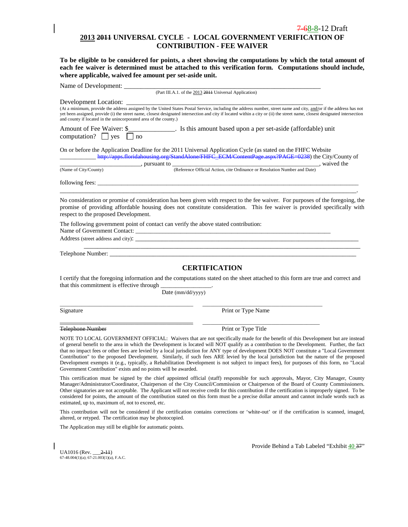### **2013 2011 UNIVERSAL CYCLE - LOCAL GOVERNMENT VERIFICATION OF CONTRIBUTION - FEE WAIVER**

**To be eligible to be considered for points, a sheet showing the computations by which the total amount of each fee waiver is determined must be attached to this verification form. Computations should include, where applicable, waived fee amount per set-aside unit.**

| Name of Development: ___                                                                  |                                                                                                                                                                                                                                                                                                                                                                                                                                                                                                                                                                                                                                                                                                                  |
|-------------------------------------------------------------------------------------------|------------------------------------------------------------------------------------------------------------------------------------------------------------------------------------------------------------------------------------------------------------------------------------------------------------------------------------------------------------------------------------------------------------------------------------------------------------------------------------------------------------------------------------------------------------------------------------------------------------------------------------------------------------------------------------------------------------------|
|                                                                                           | (Part III.A.1. of the 2013 2011 Universal Application)                                                                                                                                                                                                                                                                                                                                                                                                                                                                                                                                                                                                                                                           |
| Development Location:<br>and county if located in the unincorporated area of the county.) | (At a minimum, provide the address assigned by the United States Postal Service, including the address number, street name and city, and/or if the address has not<br>yet been assigned, provide (i) the street name, closest designated intersection and city if located within a city or (ii) the street name, closest designated intersection                                                                                                                                                                                                                                                                                                                                                                 |
| Amount of Fee Waiver: \$<br>computation? $\Box$ yes<br>no                                 |                                                                                                                                                                                                                                                                                                                                                                                                                                                                                                                                                                                                                                                                                                                  |
|                                                                                           | On or before the Application Deadline for the 2011 Universal Application Cycle (as stated on the FHFC Website<br>http://apps.floridahousing.org/StandAlone/FHFC_ECM/ContentPage.aspx?PAGE=0238) the City/County of                                                                                                                                                                                                                                                                                                                                                                                                                                                                                               |
| $\frac{1}{\text{(Name of City/Country)}}$ , pursuant to $\frac{1}{\text{(Reference)}}$    | (Reference Official Action, cite Ordinance or Resolution Number and Date), waived the                                                                                                                                                                                                                                                                                                                                                                                                                                                                                                                                                                                                                            |
|                                                                                           |                                                                                                                                                                                                                                                                                                                                                                                                                                                                                                                                                                                                                                                                                                                  |
| respect to the proposed Development.                                                      | No consideration or promise of consideration has been given with respect to the fee waiver. For purposes of the foregoing, the<br>promise of providing affordable housing does not constitute consideration. This fee waiver is provided specifically with                                                                                                                                                                                                                                                                                                                                                                                                                                                       |
| The following government point of contact can verify the above stated contribution:       |                                                                                                                                                                                                                                                                                                                                                                                                                                                                                                                                                                                                                                                                                                                  |
| Address (street address and city):                                                        |                                                                                                                                                                                                                                                                                                                                                                                                                                                                                                                                                                                                                                                                                                                  |
|                                                                                           |                                                                                                                                                                                                                                                                                                                                                                                                                                                                                                                                                                                                                                                                                                                  |
|                                                                                           | <b>CERTIFICATION</b>                                                                                                                                                                                                                                                                                                                                                                                                                                                                                                                                                                                                                                                                                             |
|                                                                                           | I certify that the foregoing information and the computations stated on the sheet attached to this form are true and correct and                                                                                                                                                                                                                                                                                                                                                                                                                                                                                                                                                                                 |
| Date (mm/dd/yyyy)                                                                         |                                                                                                                                                                                                                                                                                                                                                                                                                                                                                                                                                                                                                                                                                                                  |
| Signature                                                                                 | Print or Type Name                                                                                                                                                                                                                                                                                                                                                                                                                                                                                                                                                                                                                                                                                               |
| <b>Telephone Number</b>                                                                   | Print or Type Title                                                                                                                                                                                                                                                                                                                                                                                                                                                                                                                                                                                                                                                                                              |
| Government Contribution" exists and no points will be awarded.                            | NOTE TO LOCAL GOVERNMENT OFFICIAL: Waivers that are not specifically made for the benefit of this Development but are instead<br>of general benefit to the area in which the Development is located will NOT qualify as a contribution to the Development. Further, the fact<br>that no impact fees or other fees are levied by a local jurisdiction for ANY type of development DOES NOT constitute a "Local Government<br>Contribution" to the proposed Development. Similarly, if such fees ARE levied by the local jurisdiction but the nature of the proposed<br>Development exempts it (e.g., typically, a Rehabilitation Development is not subject to impact fees), for purposes of this form, no "Local |
| estimated, up to, maximum of, not to exceed, etc.                                         | This certification must be signed by the chief appointed official (staff) responsible for such approvals, Mayor, City Manager, County<br>Manager/Administrator/Coordinator, Chairperson of the City Council/Commission or Chairperson of the Board of County Commissioners.<br>Other signatories are not acceptable. The Applicant will not receive credit for this contribution if the certification is improperly signed. To be<br>considered for points, the amount of the contribution stated on this form must be a precise dollar amount and cannot include words such as                                                                                                                                  |
| altered, or retyped. The certification may be photocopied.                                | This contribution will not be considered if the certification contains corrections or 'white-out' or if the certification is scanned, imaged,                                                                                                                                                                                                                                                                                                                                                                                                                                                                                                                                                                    |

The Application may still be eligible for automatic points.

UA1016 (Rev. \_\_\_2-11)<br>67-48.004(1)(a); 67-21.003(1)(a), F.A.C.

Provide Behind a Tab Labeled "Exhibit 40.37"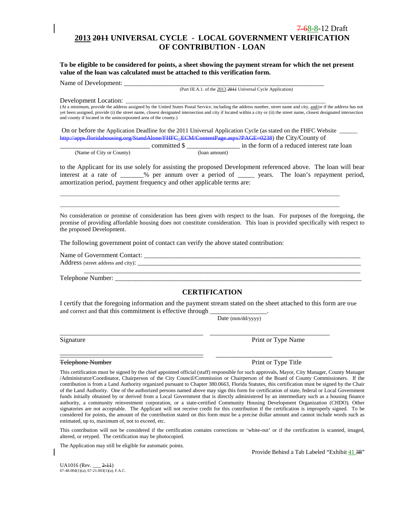# **2013 2011 UNIVERSAL CYCLE - LOCAL GOVERNMENT VERIFICATION OF CONTRIBUTION - LOAN**

**To be eligible to be considered for points, a sheet showing the payment stream for which the net present value of the loan was calculated must be attached to this verification form.** 

Name of Development:

(Part III.A.1. of the 2013 2011 Universal Cycle Application)

Development Location:

(At a minimum, provide the address assigned by the United States Postal Service, including the address number, street name and city, and/or if the address has not yet been assigned, provide (i) the street name, closest designated intersection and city if located within a city or (ii) the street name, closest designated intersection and county if located in the unincorporated area of the county.)

On or before the Application Deadline for the 2011 Universal Application Cycle (as stated on the FHFC Website \_\_\_\_\_\_ [http://apps.floridahousing.org/StandAlone/FHFC\\_ECM/ContentPage.aspx?PAGE=0238\)](http://apps.floridahousing.org/StandAlone/FHFC_ECM/ContentPage.aspx?PAGE=0238) the City/County of

\_\_\_\_\_\_\_\_\_\_\_\_\_\_\_\_\_\_\_\_\_\_\_\_\_\_\_\_\_\_\_\_\_\_\_\_\_\_\_\_\_\_\_\_\_\_\_\_\_\_\_\_\_\_\_\_\_\_\_\_\_\_\_\_\_\_\_\_\_\_\_\_\_\_\_\_\_\_\_\_\_\_\_\_\_\_\_\_\_\_\_\_\_\_\_\_\_\_\_\_\_\_\_\_\_ \_\_\_\_\_\_\_\_\_\_\_\_\_\_\_\_\_\_\_\_\_\_\_\_\_\_\_\_\_\_\_\_\_\_\_\_\_\_\_\_\_\_\_\_\_\_\_\_\_\_\_\_\_\_\_\_\_\_\_\_\_\_\_\_\_\_\_\_\_\_\_\_\_\_\_\_\_\_\_\_\_\_\_\_\_\_\_\_\_\_\_\_\_\_\_\_\_\_\_\_\_\_\_\_\_

|                              |              | in the form of a reduced interest rate loan |
|------------------------------|--------------|---------------------------------------------|
| (Name of City or C<br>County | ≀loan amount |                                             |

to the Applicant for its use solely for assisting the proposed Development referenced above. The loan will bear interest at a rate of \_\_\_\_\_\_\_% per annum over a period of \_\_\_\_\_ years. The loan's repayment period, amortization period, payment frequency and other applicable terms are:

No consideration or promise of consideration has been given with respect to the loan. For purposes of the foregoing, the promise of providing affordable housing does not constitute consideration. This loan is provided specifically with respect to the proposed Development.

The following government point of contact can verify the above stated contribution:

Name of Government Contact: \_\_\_\_\_\_\_\_\_\_\_\_\_\_\_\_\_\_\_\_\_\_\_\_\_\_\_\_\_\_\_\_\_\_\_\_\_\_\_\_\_\_\_\_\_\_\_\_\_\_\_\_\_\_\_\_\_\_\_\_\_\_\_\_\_ Address (street address and city): \_\_\_\_\_\_\_\_\_\_\_\_\_\_\_\_\_\_\_\_\_\_\_\_\_\_\_\_\_\_\_\_\_\_\_\_\_\_\_\_\_\_\_\_\_\_\_\_\_\_\_\_\_\_\_\_\_\_\_\_\_\_\_\_\_\_\_ \_\_\_\_\_\_\_\_\_\_\_\_\_\_\_\_\_\_\_\_\_\_\_\_\_\_\_\_\_\_\_\_\_\_\_\_\_\_\_\_\_\_\_\_\_\_\_\_\_\_\_\_\_\_\_\_\_\_\_\_\_\_\_\_\_\_\_\_\_\_\_\_\_\_\_\_\_\_\_\_\_\_\_

Telephone Number:

### **CERTIFICATION**

I certify that the foregoing information and the payment stream stated on the sheet attached to this form are true and correct and that this commitment is effective through

Date (mm/dd/yyyy)

Signature Print or Type Name Print or Type Name

#### Telephone Number **Print of Type Title** Print or Type Title

This certification must be signed by the chief appointed official (staff) responsible for such approvals, Mayor, City Manager, County Manager /Administrator/Coordinator, Chairperson of the City Council/Commission or Chairperson of the Board of County Commissioners. If the contribution is from a Land Authority organized pursuant to Chapter 380.0663, Florida Statutes, this certification must be signed by the Chair of the Land Authority. One of the authorized persons named above may sign this form for certification of state, federal or Local Government funds initially obtained by or derived from a Local Government that is directly administered by an intermediary such as a housing finance authority, a community reinvestment corporation, or a state-certified Community Housing Development Organization (CHDO). Other signatories are not acceptable. The Applicant will not receive credit for this contribution if the certification is improperly signed. To be considered for points, the amount of the contribution stated on this form must be a precise dollar amount and cannot include words such as estimated, up to, maximum of, not to exceed, etc.

This contribution will not be considered if the certification contains corrections or 'white-out' or if the certification is scanned, imaged, altered, or retyped. The certification may be photocopied.

The Application may still be eligible for automatic points.

Provide Behind a Tab Labeled "Exhibit 41 38"

UA1016 (Rev. 2-11) 67-48.004(1)(a); 67-21.003(1)(a), F.A.C.

\_\_\_\_\_\_\_\_\_\_\_\_\_\_\_\_\_\_\_\_\_\_\_\_\_\_\_\_\_\_\_\_\_\_\_\_\_\_\_\_\_\_\_ \_\_\_\_\_\_\_\_\_\_\_\_\_\_\_\_\_\_\_\_\_\_\_\_\_\_\_\_\_\_\_\_\_\_\_\_

\_\_\_\_\_\_\_\_\_\_\_\_\_\_\_\_\_\_\_\_\_\_\_\_\_\_\_\_\_\_\_\_\_\_\_\_\_\_\_\_\_\_\_ \_\_\_\_\_\_\_\_\_\_\_\_\_\_\_\_\_\_\_\_\_\_\_\_\_\_\_\_\_\_\_\_\_\_\_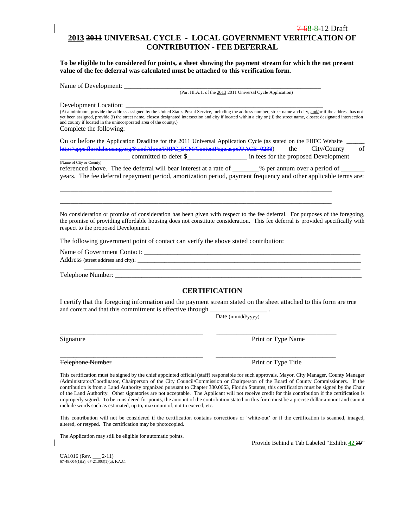# **2013 2011 UNIVERSAL CYCLE - LOCAL GOVERNMENT VERIFICATION OF CONTRIBUTION - FEE DEFERRAL**

**To be eligible to be considered for points, a sheet showing the payment stream for which the net present value of the fee deferral was calculated must be attached to this verification form.**

Name of Development: \_\_\_\_\_\_\_\_\_\_\_\_\_\_\_\_\_\_\_\_\_\_\_\_\_\_\_\_\_\_\_\_\_\_\_\_\_\_\_\_\_\_\_\_\_\_\_\_\_\_\_\_\_\_\_\_\_\_\_

(Part III.A.1. of the 2013 2011 Universal Cycle Application)

Development Location:

(At a minimum, provide the address assigned by the United States Postal Service, including the address number, street name and city, and/or if the address has not yet been assigned, provide (i) the street name, closest designated intersection and city if located within a city or (ii) the street name, closest designated intersection and county if located in the unincorporated area of the county.) Complete the following:

On or before the Application Deadline for the 2011 Universal Application Cycle (as stated on the FHFC Website [http://apps.floridahousing.org/StandAlone/FHFC\\_ECM/ContentPage.aspx?PAGE=0238\)](http://apps.floridahousing.org/StandAlone/FHFC_ECM/ContentPage.aspx?PAGE=0238) the City/County of \_\_\_\_\_\_\_\_\_\_\_\_\_\_\_\_\_\_\_\_\_ committed to defer \$\_\_\_\_\_\_\_\_\_\_\_\_\_\_\_\_\_\_ in fees for the proposed Development

(Name of City or County) referenced above. The fee deferral will bear interest at a rate of \_\_\_\_\_\_\_% per annum over a period of \_ years. The fee deferral repayment period, amortization period, payment frequency and other applicable terms are:

\_\_\_\_\_\_\_\_\_\_\_\_\_\_\_\_\_\_\_\_\_\_\_\_\_\_\_\_\_\_\_\_\_\_\_\_\_\_\_\_\_\_\_\_\_\_\_\_\_\_\_\_\_\_\_\_\_\_\_\_\_\_\_\_\_\_\_\_\_\_\_\_\_\_\_\_\_\_\_\_\_\_\_\_\_\_\_\_\_\_\_\_\_\_\_\_\_\_\_\_\_\_ \_\_\_\_\_\_\_\_\_\_\_\_\_\_\_\_\_\_\_\_\_\_\_\_\_\_\_\_\_\_\_\_\_\_\_\_\_\_\_\_\_\_\_\_\_\_\_\_\_\_\_\_\_\_\_\_\_\_\_\_\_\_\_\_\_\_\_\_\_\_\_\_\_\_\_\_\_\_\_\_\_\_\_\_\_\_\_\_\_\_\_\_\_\_\_\_\_\_\_\_\_\_

No consideration or promise of consideration has been given with respect to the fee deferral. For purposes of the foregoing, the promise of providing affordable housing does not constitute consideration. This fee deferral is provided specifically with respect to the proposed Development.

The following government point of contact can verify the above stated contribution:

Name of Government Contact: \_\_\_\_\_\_\_\_\_\_\_\_\_\_\_\_\_\_\_\_\_\_\_\_\_\_\_\_\_\_\_\_\_\_\_\_\_\_\_\_\_\_\_\_\_\_\_\_\_\_\_\_\_\_\_\_\_\_\_\_\_\_\_\_\_ Address (street address and city): \_\_\_\_\_\_\_\_\_\_\_\_\_\_\_\_\_\_\_\_\_\_\_\_\_\_\_\_\_\_\_\_\_\_\_\_\_\_\_\_\_\_\_\_\_\_\_\_\_\_\_\_\_\_\_\_\_\_\_\_\_\_\_\_\_\_\_ \_\_\_\_\_\_\_\_\_\_\_\_\_\_\_\_\_\_\_\_\_\_\_\_\_\_\_\_\_\_\_\_\_\_\_\_\_\_\_\_\_\_\_\_\_\_\_\_\_\_\_\_\_\_\_\_\_\_\_\_\_\_\_\_\_\_\_\_\_\_\_\_\_\_\_\_\_\_\_\_\_\_\_

Telephone Number: \_\_\_\_\_\_\_\_\_\_\_\_\_\_\_\_\_\_\_\_\_\_\_\_\_\_\_\_\_\_\_\_\_\_\_\_\_\_\_\_\_\_\_\_\_\_\_\_\_\_\_\_\_\_\_\_\_\_\_\_\_\_\_\_\_\_\_\_\_\_\_\_\_\_

### **CERTIFICATION**

I certify that the foregoing information and the payment stream stated on the sheet attached to this form are true and correct and that this commitment is effective through

\_\_\_\_\_\_\_\_\_\_\_\_\_\_\_\_\_\_\_\_\_\_\_\_\_\_\_\_\_\_\_\_\_\_\_\_\_\_\_\_\_\_\_ \_\_\_\_\_\_\_\_\_\_\_\_\_\_\_\_\_\_\_\_\_\_\_\_\_\_\_\_\_\_\_\_\_\_\_\_

Date (mm/dd/yyyy)

Signature Print or Type Name

\_\_\_\_\_\_\_\_\_\_\_\_\_\_\_\_\_\_\_\_\_\_\_\_\_\_\_\_\_\_\_\_\_\_\_\_\_\_\_\_\_\_\_ \_\_\_\_\_\_\_\_\_\_\_\_\_\_\_\_\_\_\_\_\_\_\_\_\_\_\_\_\_\_\_\_\_\_\_\_ Telephone Number **Print of Type Title** 

This certification must be signed by the chief appointed official (staff) responsible for such approvals, Mayor, City Manager, County Manager /Administrator/Coordinator, Chairperson of the City Council/Commission or Chairperson of the Board of County Commissioners. If the contribution is from a Land Authority organized pursuant to Chapter 380.0663, Florida Statutes, this certification must be signed by the Chair of the Land Authority. Other signatories are not acceptable. The Applicant will not receive credit for this contribution if the certification is improperly signed. To be considered for points, the amount of the contribution stated on this form must be a precise dollar amount and cannot include words such as estimated, up to, maximum of, not to exceed, etc.

This contribution will not be considered if the certification contains corrections or 'white-out' or if the certification is scanned, imaged, altered, or retyped. The certification may be photocopied.

The Application may still be eligible for automatic points.

Provide Behind a Tab Labeled "Exhibit 42 39"

UA1016 (Rev. \_\_\_ 2-11) 67-48.004(1)(a); 67-21.003(1)(a), F.A.C.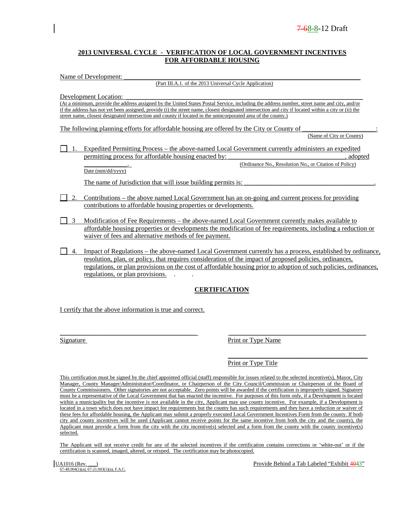### **2013 UNIVERSAL CYCLE - VERIFICATION OF LOCAL GOVERNMENT INCENTIVES FOR AFFORDABLE HOUSING**

Name of Development:

(Part III.A.1. of the 2013 Universal Cycle Application)

Development Location:

(At a minimum, provide the address assigned by the United States Postal Service, including the address number, street name and city, and/or if the address has not yet been assigned, provide (i) the street name, closest designated intersection and city if located within a city or (ii) the street name, closest designated intersection and county if located in the unincorporated area of the county.)

The following planning efforts for affordable housing are offered by the City or County of (Name of City or County)

1. Expedited Permitting Process – the above-named Local Government currently administers an expedited permitting process for affordable housing enacted by:  $\qquad \qquad$ , adopted (Ordinance No., Resolution No., or Citation of Policy)

Date (mm/dd/yyyy)

The name of Jurisdiction that will issue building permits is:

- 2. Contributions the above named Local Government has an on-going and current process for providing contributions to affordable housing properties or developments.
- 3 Modification of Fee Requirements the above-named Local Government currently makes available to affordable housing properties or developments the modification of fee requirements, including a reduction or waiver of fees and alternative methods of fee payment.
- 4. Impact of Regulations the above-named Local Government currently has a process, established by ordinance, resolution, plan, or policy, that requires consideration of the impact of proposed policies, ordinances, regulations, or plan provisions on the cost of affordable housing prior to adoption of such policies, ordinances, regulations, or plan provisions. . .

### **CERTIFICATION**

I certify that the above information is true and correct.

Signature Print or Type Name

 $\overline{\phantom{a}}$  , where the contract of the contract of the contract of the contract of the contract of the contract of the contract of the contract of the contract of the contract of the contract of the contract of the contr Print or Type Title

This certification must be signed by the chief appointed official (staff) responsible for issues related to the selected incentive(s), Mayor, City Manager, County Manager/Administrator/Coordinator, or Chairperson of the City Council/Commission or Chairperson of the Board of County Commissioners. Other signatories are not acceptable. Zero points will be awarded if the certification is improperly signed. Signatory must be a representative of the Local Government that has enacted the incentive. For purposes of this form only, if a Development is located within a municipality but the incentive is not available in the city, Applicant may use county incentive. For example, if a Development is located in a town which does not have impact fee requirements but the county has such requirements and they have a reduction or waiver of these fees for affordable housing, the Applicant may submit a properly executed Local Government Incentives Form from the county. If both city and county incentives will be used (Applicant cannot receive points for the same incentive from both the city and the county), the Applicant must provide a form from the city with the city incentive(s) selected and a form from the county with the county incentive(s) selected.

 $\overline{\phantom{a}}$  , and the contribution of the contribution of the contribution of the contribution of the contribution of the contribution of the contribution of the contribution of the contribution of the contribution of the

The Applicant will not receive credit for any of the selected incentives if the certification contains corrections or 'white-out' or if the certification is scanned, imaged, altered, or retyped. The certification may be photocopied.

 $67-48.004(1)(a)$ ;  $67-21.003(1)(a)$ , F.A.C.

UA1016 (Rev. \_\_\_) Provide Behind a Tab Labeled "Exhibit 4043"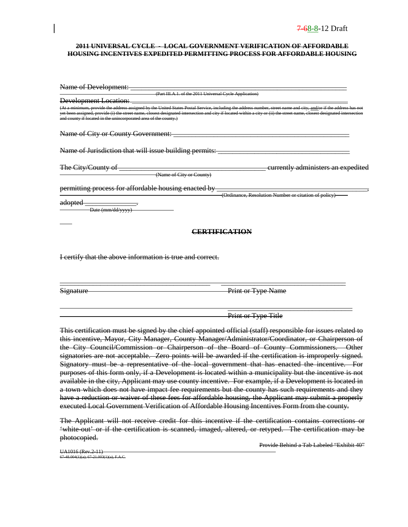#### **2011 UNIVERSAL CYCLE - LOCAL GOVERNMENT VERIFICATION OF AFFORDABLE HOUSING INCENTIVES EXPEDITED PERMITTING PROCESS FOR AFFORDABLE HOUSING**

| Name of Development:                                                                                                                                                                                                                                                                                                                                                                                                 |                                                      |
|----------------------------------------------------------------------------------------------------------------------------------------------------------------------------------------------------------------------------------------------------------------------------------------------------------------------------------------------------------------------------------------------------------------------|------------------------------------------------------|
| (Part III.A.1. of the 2011 Universal Cycle Application)                                                                                                                                                                                                                                                                                                                                                              |                                                      |
| <b>Development Location:</b>                                                                                                                                                                                                                                                                                                                                                                                         |                                                      |
| (At a minimum, provide the address assigned by the United States Postal Service, including the address number, street name and city, and/or if the address has not<br>yet been assigned, provide (i) the street name, closest designated intersection and city if located within a city or (ii) the street name, closest designated intersection<br>and county if located in the unincorporated area of the county.) |                                                      |
| Name of City or County Government: _                                                                                                                                                                                                                                                                                                                                                                                 |                                                      |
| Name of Jurisdiction that will issue building permits: _                                                                                                                                                                                                                                                                                                                                                             |                                                      |
| The City/County of                                                                                                                                                                                                                                                                                                                                                                                                   | currently administers an expedited                   |
| (Name of City or County)                                                                                                                                                                                                                                                                                                                                                                                             |                                                      |
| permitting process for affordable housing enacted by                                                                                                                                                                                                                                                                                                                                                                 |                                                      |
|                                                                                                                                                                                                                                                                                                                                                                                                                      | (Ordinance, Resolution Number or citation of policy) |
| adopted<br>Date (mm/dd/yyyy)                                                                                                                                                                                                                                                                                                                                                                                         |                                                      |
|                                                                                                                                                                                                                                                                                                                                                                                                                      | CERTIFICATION                                        |
|                                                                                                                                                                                                                                                                                                                                                                                                                      |                                                      |
| I certify that the above information is true and correct.                                                                                                                                                                                                                                                                                                                                                            |                                                      |
| Signature                                                                                                                                                                                                                                                                                                                                                                                                            | <b>Print or Type Name</b>                            |
|                                                                                                                                                                                                                                                                                                                                                                                                                      |                                                      |

 $\overline{\phantom{a}}$  , and the contract of the contract of the contract of the contract of the contract of the contract of the contract of the contract of the contract of the contract of the contract of the contract of the contrac Print or Type Title

This certification must be signed by the chief appointed official (staff) responsible for issues related to this incentive, Mayor, City Manager, County Manager/Administrator/Coordinator, or Chairperson of the City Council/Commission or Chairperson of the Board of County Commissioners. Other signatories are not acceptable. Zero points will be awarded if the certification is improperly signed. Signatory must be a representative of the local government that has enacted the incentive. For purposes of this form only, if a Development is located within a municipality but the incentive is not available in the city, Applicant may use county incentive. For example, if a Development is located in a town which does not have impact fee requirements but the county has such requirements and they have a reduction or waiver of these fees for affordable housing, the Applicant may submit a properly executed Local Government Verification of Affordable Housing Incentives Form from the county.

The Applicant will not receive credit for this incentive if the certification contains corrections or 'white-out' or if the certification is scanned, imaged, altered, or retyped. The certification may be photocopied.

Provide Behind a Tab Labeled "Exhibit 40"

UA1016 (Rev.2-11)  $67-48.004(1)(a)$ ; 67-21.003(1)(a), F.A.C.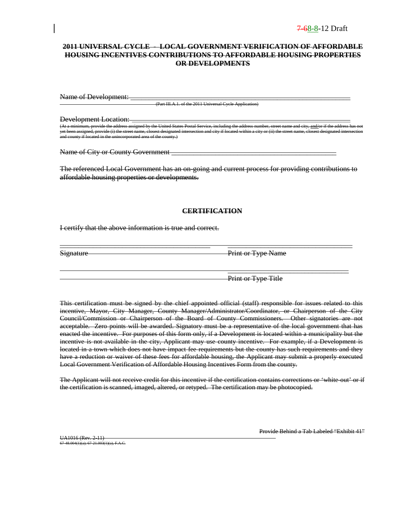### **2011 UNIVERSAL CYCLE - LOCAL GOVERNMENT VERIFICATION OF AFFORDABLE HOUSING INCENTIVES CONTRIBUTIONS TO AFFORDABLE HOUSING PROPERTIES OR DEVELOPMENTS**

Name of Development:

 $\overline{O(Part III A.1. of the 2011 Universal Cycle Anplied by the image.}$ 

Development Location:

the United States Postal Service, including the United States Postal Service, including the ide (i) the street name, closest designated intersection and city if located with and county if located in the unincorporated area of the county.)

Name of City or County Government

The referenced Local Government has an on-going and current process for providing contributions to affordable housing properties or developments.

#### **CERTIFICATION**

\_\_\_\_\_\_\_\_\_\_\_\_\_\_\_\_\_\_\_\_\_\_\_\_\_\_\_\_\_\_\_\_\_\_\_\_\_\_\_\_\_ \_\_\_\_\_\_\_\_\_\_\_\_\_\_\_\_\_\_\_\_\_\_\_\_\_\_\_\_\_\_\_\_\_\_

I certify that the above information is true and correct.

Signature Print or Type Name

Print or Type Title

 $\overline{\phantom{a}}$  , which is a set of the set of the set of the set of the set of the set of the set of the set of the set of the set of the set of the set of the set of the set of the set of the set of the set of the set of th

This certification must be signed by the chief appointed official (staff) responsible for issues related to this incentive, Mayor, City Manager, County Manager/Administrator/Coordinator, or Chairperson of the City Council/Commission or Chairperson of the Board of County Commissioners. Other signatories are not acceptable. Zero points will be awarded. Signatory must be a representative of the local government that has enacted the incentive. For purposes of this form only, if a Development is located within a municipality but the incentive is not available in the city, Applicant may use county incentive. For example, if a Development is located in a town which does not have impact fee requirements but the county has such requirements and they have a reduction or waiver of these fees for affordable housing, the Applicant may submit a properly executed Local Government Verification of Affordable Housing Incentives Form from the county.

The Applicant will not receive credit for this incentive if the certification contains corrections or 'white-out' or if the certification is scanned, imaged, altered, or retyped. The certification may be photocopied.

UA1016 (Rev. 2-11) 67-48.004(1)(a); 67-21.003(1)(a), F.A.C. Provide Behind a Tab Labeled "Exhibit 41"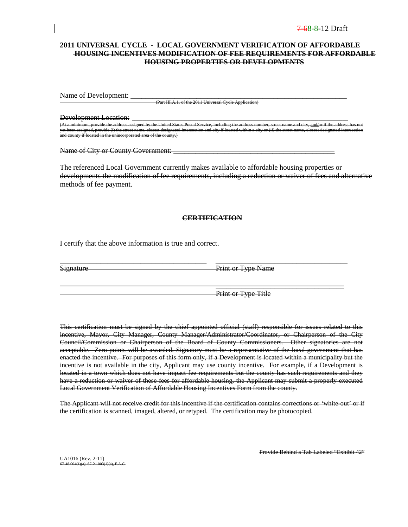### **2011 UNIVERSAL CYCLE - LOCAL GOVERNMENT VERIFICATION OF AFFORDABLE HOUSING INCENTIVES MODIFICATION OF FEE REQUIREMENTS FOR AFFORDABLE HOUSING PROPERTIES OR DEVELOPMENTS**

Name of Development:

(Part III.A.1. of the 2011 Universal Cycle Application)

Development Location:

a, provide the address assigned by the United States Postal Service, including the address number, street name and city, <u>an</u> y provide (i) the street name, closest designated intersection and city if located in the unincorporated area of the county. nincorporated area of the county.)

Name of City or County Government:

The referenced Local Government currently makes available to affordable housing properties or developments the modification of fee requirements, including a reduction or waiver of fees and alternative methods of fee payment.

#### **CERTIFICATION**

\_\_\_\_\_\_\_\_\_\_\_\_\_\_\_\_\_\_\_\_\_\_\_\_\_\_\_\_\_\_\_\_\_\_\_\_\_\_\_\_ \_\_\_\_\_\_\_\_\_\_\_\_\_\_\_\_\_\_\_\_\_\_\_\_\_\_\_\_\_\_\_\_\_\_\_\_

I certify that the above information is true and correct.

Signature Print or Type Name

Print or Type Title

 $\overline{\phantom{a}}$  , and the contract of the contract of the contract of the contract of the contract of the contract of the contract of the contract of the contract of the contract of the contract of the contract of the contrac

This certification must be signed by the chief appointed official (staff) responsible for issues related to this incentive, Mayor, City Manager, County Manager/Administrator/Coordinator, or Chairperson of the City Council/Commission or Chairperson of the Board of County Commissioners. Other signatories are not acceptable. Zero points will be awarded. Signatory must be a representative of the local government that has enacted the incentive. For purposes of this form only, if a Development is located within a municipality but the incentive is not available in the city, Applicant may use county incentive. For example, if a Development is located in a town which does not have impact fee requirements but the county has such requirements and they have a reduction or waiver of these fees for affordable housing, the Applicant may submit a properly executed Local Government Verification of Affordable Housing Incentives Form from the county.

The Applicant will not receive credit for this incentive if the certification contains corrections or 'white out' or if the certification is scanned, imaged, altered, or retyped. The certification may be photocopied.

Provide Behind a Tab Labeled "Exhibit 42"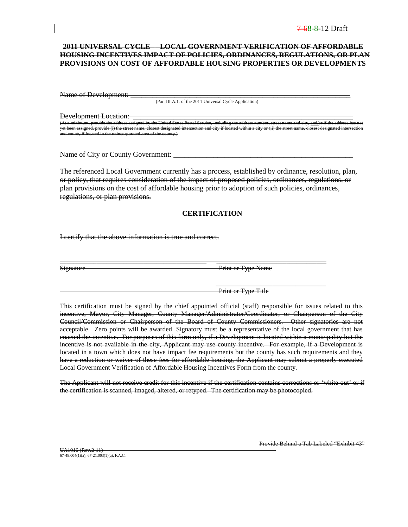### **2011 UNIVERSAL CYCLE - LOCAL GOVERNMENT VERIFICATION OF AFFORDABLE HOUSING INCENTIVES IMPACT OF POLICIES, ORDINANCES, REGULATIONS, OR PLAN PROVISIONS ON COST OF AFFORDABLE HOUSING PROPERTIES OR DEVELOPMENTS**

Name of Development:  $\frac{1}{\sqrt{2\pi}}$   $\frac{1}{\sqrt{2\pi}}$   $\frac{1}{\sqrt{2\pi}}$  of the 2011 Universal Cycle

(Part III.A.1. of the 2011 Univer

Development Location:

United States Postal Service, including the United States Postal Service, including the address number, street yet been assigned, provide (i) the street name, closest designated intersection and city if located within a city or (ii) the street name, closest designated intersection and county if located in the unincorporated area of the county.)

Name of City or County Government:

The referenced Local Government currently has a process, established by ordinance, resolution, plan, or policy, that requires consideration of the impact of proposed policies, ordinances, regulations, or plan provisions on the cost of affordable housing prior to adoption of such policies, ordinances, regulations, or plan provisions.

#### **CERTIFICATION**

\_\_\_\_\_\_\_\_\_\_\_\_\_\_\_\_\_\_\_\_\_\_\_\_\_\_\_\_\_\_\_\_\_\_\_\_\_\_\_\_\_\_\_\_ \_\_\_\_\_\_\_\_\_\_\_\_\_\_\_\_\_\_\_\_\_\_\_\_\_\_\_\_\_\_\_\_\_

I certify that the above information is true and correct.

Signature Print or Type Name

Print or Type Title

\_\_\_\_\_\_\_\_\_\_\_\_\_\_\_\_\_\_\_\_\_\_\_\_\_\_\_\_\_\_\_\_\_

This certification must be signed by the chief appointed official (staff) responsible for issues related to this incentive, Mayor, City Manager, County Manager/Administrator/Coordinator, or Chairperson of the City Council/Commission or Chairperson of the Board of County Commissioners. Other signatories are not acceptable. Zero points will be awarded. Signatory must be a representative of the local government that has enacted the incentive. For purposes of this form only, if a Development is located within a municipality but the incentive is not available in the city, Applicant may use county incentive. For example, if a Development is located in a town which does not have impact fee requirements but the county has such requirements and they have a reduction or waiver of these fees for affordable housing, the Applicant may submit a properly executed Local Government Verification of Affordable Housing Incentives Form from the county.

The Applicant will not receive credit for this incentive if the certification contains corrections or 'white-out' or if the certification is scanned, imaged, altered, or retyped. The certification may be photocopied.

UA1016 (Rev.2-11) 67-48.004(1)(a); 67-21.003(1)(a), F.A.C. Provide Behind a Tab Labeled "Exhibit 43"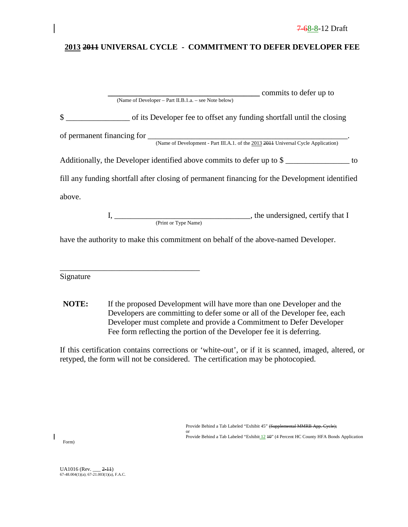# **2013 2011 UNIVERSAL CYCLE - COMMITMENT TO DEFER DEVELOPER FEE**

|               | commits to defer up to                                                                         |
|---------------|------------------------------------------------------------------------------------------------|
|               | (Name of Developer – Part II.B.1.a. – see Note below)                                          |
| $\frac{1}{2}$ | of its Developer fee to offset any funding shortfall until the closing                         |
|               |                                                                                                |
|               |                                                                                                |
|               | Additionally, the Developer identified above commits to defer up to \$                         |
|               | fill any funding shortfall after closing of permanent financing for the Development identified |
| above.        |                                                                                                |
|               |                                                                                                |
|               | (Print or Type Name)                                                                           |
|               | have the authority to make this commitment on behalf of the above-named Developer.             |
|               |                                                                                                |

Signature

\_\_\_\_\_\_\_\_\_\_\_\_\_\_\_\_\_\_\_\_\_\_\_\_\_\_\_\_\_\_\_\_\_\_\_

**NOTE:** If the proposed Development will have more than one Developer and the Developers are committing to defer some or all of the Developer fee, each Developer must complete and provide a Commitment to Defer Developer Fee form reflecting the portion of the Developer fee it is deferring.

If this certification contains corrections or 'white-out', or if it is scanned, imaged, altered, or retyped, the form will not be considered. The certification may be photocopied.

> Provide Behind a Tab Labeled "Exhibit 45" (Supplemental MMRB App. Cycle); or

Provide Behind a Tab Labeled "Exhibit 12 40" (4 Percent HC County HFA Bonds Application

Form)

 $\overline{\phantom{a}}$ 

UA1016 (Rev. \_\_\_ 2-11)  $67-48.004(1)(a)$ ;  $67-21.003(1)(a)$ , F.A.C.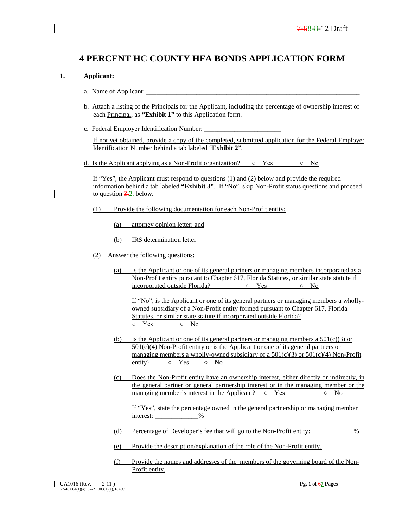# **4 PERCENT HC COUNTY HFA BONDS APPLICATION FORM**

### **1. Applicant:**

- a. Name of Applicant:
- b. Attach a listing of the Principals for the Applicant, including the percentage of ownership interest of each Principal, as **"Exhibit 1"** to this Application form.
- c. Federal Employer Identification Number:

If not yet obtained, provide a copy of the completed, submitted application for the Federal Employer Identification Number behind a tab labeled "**Exhibit 2**".

d. Is the Applicant applying as a Non-Profit organization?  $\circ$  Yes  $\circ$  No

If "Yes", the Applicant must respond to questions (1) and (2) below and provide the required information behind a tab labeled **"Exhibit 3"**. If "No", skip Non-Profit status questions and proceed to question  $\frac{3}{2}$ . below.

- (1) Provide the following documentation for each Non-Profit entity:
	- (a) attorney opinion letter; and
	- (b) IRS determination letter
- (2) Answer the following questions:
	- (a) Is the Applicant or one of its general partners or managing members incorporated as a Non-Profit entity pursuant to Chapter 617, Florida Statutes, or similar state statute if incorporated outside Florida? <br> **O** Yes 
	<sup>o</sup> No

If "No", is the Applicant or one of its general partners or managing members a whollyowned subsidiary of a Non-Profit entity formed pursuant to Chapter 617, Florida Statutes, or similar state statute if incorporated outside Florida? ○ Yes ○ No

- (b) Is the Applicant or one of its general partners or managing members a  $501(c)(3)$  or  $501(c)(4)$  Non-Profit entity or is the Applicant or one of its general partners or managing members a wholly-owned subsidiary of a  $501(c)(3)$  or  $501(c)(4)$  Non-Profit entity?  $\circ$  Yes  $\circ$  No
- (c) Does the Non-Profit entity have an ownership interest, either directly or indirectly, in the general partner or general partnership interest or in the managing member or the managing member's interest in the Applicant?  $\circ$  Yes  $\circ$  No

If "Yes", state the percentage owned in the general partnership or managing member interest:  $\%$ 

- (d) Percentage of Developer's fee that will go to the Non-Profit entity: \_\_\_\_\_\_\_\_\_\_\_\_%
- (e) Provide the description/explanation of the role of the Non-Profit entity.
- (f) Provide the names and addresses of the members of the governing board of the Non-Profit entity.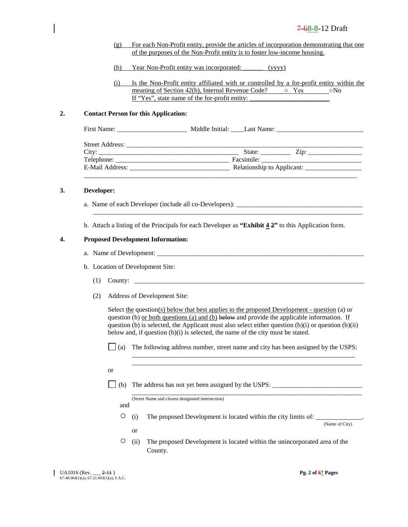(g) For each Non-Profit entity, provide the articles of incorporation demonstrating that one of the purposes of the Non-Profit entity is to foster low-income housing.

(h) Year Non-Profit entity was incorporated: \_\_\_\_\_\_ (yyyy)

(i) Is the Non-Profit entity affiliated with or controlled by a for-profit entity within the meaning of Section 42(h), Internal Revenue Code?  $\circ$  Yes  $\circ$  No If "Yes", state name of the for-profit entity:

#### **2. Contact Person for this Application:**

| State: $\frac{Zip:\_$      |  |
|----------------------------|--|
|                            |  |
| Relationship to Applicant: |  |
|                            |  |

#### **3. Developer:**

- a. Name of each Developer (include all co-Developers): \_\_\_\_\_\_\_\_\_\_\_\_\_\_\_\_\_\_\_\_\_\_\_\_\_\_
- b. Attach a listing of the Principals for each Developer as **"Exhibit 4 2"** to this Application form.

\_\_\_\_\_\_\_\_\_\_\_\_\_\_\_\_\_\_\_\_\_\_\_\_\_\_\_\_\_\_\_\_\_\_\_\_\_\_\_\_\_\_\_\_\_\_\_\_\_\_\_\_\_\_\_\_\_\_\_\_\_\_\_\_\_\_\_\_\_\_\_\_\_\_\_\_\_\_\_\_\_

#### **4. Proposed Development Information:**

- a. Name of Development:
- b. Location of Development Site:
	- $(1)$  County:  $\Box$
	- (2) Address of Development Site:

Select the question(s) below that best applies to the proposed Development - question (a) or question (b) or both questions (a) and (b) below and provide the applicable information. If question (b) is selected, the Applicant must also select either question  $(b)(i)$  or question  $(b)(ii)$ below and, if question (b)(i) is selected, the name of the city must be stated.

 $\Box$  (a) The following address number, street name and city has been assigned by the USPS:

\_\_\_\_\_\_\_\_\_\_\_\_\_\_\_\_\_\_\_\_\_\_\_\_\_\_\_\_\_\_\_\_\_\_\_\_\_\_\_\_\_\_\_\_\_\_\_\_\_\_\_\_\_\_\_\_\_\_\_\_\_\_\_\_\_\_\_ \_\_\_\_\_\_\_\_\_\_\_\_\_\_\_\_\_\_\_\_\_\_\_\_\_\_\_\_\_\_\_\_\_\_\_\_\_\_\_\_\_\_\_\_\_\_\_\_\_\_\_\_\_\_\_\_\_\_\_\_\_\_\_\_\_\_\_\_\_

or

and

or

(b) The address has not yet been assigned by the USPS: \_\_\_\_\_\_\_\_\_\_\_\_\_\_\_\_\_\_\_\_\_\_\_\_\_\_\_

\_\_\_\_\_\_\_\_\_\_\_\_\_\_\_\_\_\_\_\_\_\_\_\_\_\_\_\_\_\_\_\_\_\_\_\_\_\_\_\_\_\_\_\_\_\_\_\_\_\_\_\_\_\_\_\_\_\_\_\_\_\_\_\_\_\_\_\_\_ (Street Name and closest designated intersection)

- (i) The proposed Development is located within the city limits of: \_\_\_\_\_\_\_\_\_\_\_\_\_\_.
	- (Name of City)
- (ii) The proposed Development is located within the unincorporated area of the County.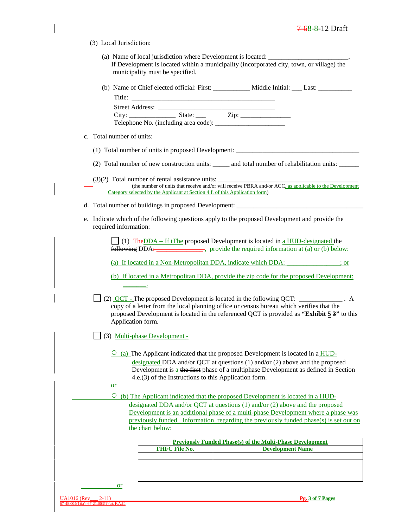- (3) Local Jurisdiction:
	- (a) Name of local jurisdiction where Development is located: If Development is located within a municipality (incorporated city, town, or village) the municipality must be specified.
	- (b) Name of Chief elected official: First: \_\_\_\_\_\_\_\_\_\_\_ Middle Initial: \_\_\_ Last: \_\_\_\_\_\_\_\_\_\_

| Title:                 |                                      |         |  |
|------------------------|--------------------------------------|---------|--|
| <b>Street Address:</b> |                                      |         |  |
| City:                  | State:                               | $Z$ ip: |  |
|                        | Telephone No. (including area code): |         |  |

- c. Total number of units:
	- (1) Total number of units in proposed Development:
	- (2) Total number of new construction units: \_\_\_\_\_ and total number of rehabilitation units:

 $(3)(2)$  Total number of rental assistance units: (the number of units that receive and/or will receive PBRA and/or ACC, as applicable to the Development Category selected by the Applicant at Section 4.f. of this Application form)

- d. Total number of buildings in proposed Development:
- e. Indicate which of the following questions apply to the proposed Development and provide the required information:
	- (1)  $\overline{\text{The} DDA \text{If (The proposed Development is located in a HUD-designed the}}$ following DDA: provide the required information at (a) or (b) below:

(a) If located in a Non-Metropolitan DDA, indicate which DDA: \_\_\_\_\_\_\_\_\_\_\_\_\_\_\_\_; or

(b) If located in a Metropolitan DDA, provide the zip code for the proposed Development:

(2) QCT - The proposed Development is located in the following QCT: \_\_\_\_\_\_\_\_\_\_\_\_\_ . A copy of a letter from the local planning office or census bureau which verifies that the proposed Development is located in the referenced QCT is provided as **"Exhibit 5 3"** to this Application form.

(3) Multi-phase Development -

or

 $\overline{\phantom{a}}$ 

- $\overline{O}$  (a) The Applicant indicated that the proposed Development is located in a  $\overline{HUD}$ designated DDA and/or QCT at questions (1) and/or (2) above and the proposed Development is a the first phase of a multiphase Development as defined in Section 4.e.(3) of the Instructions to this Application form.
- $\overline{O}$  (b) The Applicant indicated that the proposed Development is located in a HUDdesignated DDA and/or QCT at questions (1) and/or (2) above and the proposed Development is an additional phase of a multi-phase Development where a phase was previously funded. Information regarding the previously funded phase(s) is set out on the chart below:

|                                                 | <b>Previously Funded Phase(s) of the Multi-Phase Development</b> |  |  |  |  |  |  |
|-------------------------------------------------|------------------------------------------------------------------|--|--|--|--|--|--|
| <b>FHFC File No.</b><br><b>Development Name</b> |                                                                  |  |  |  |  |  |  |
|                                                 |                                                                  |  |  |  |  |  |  |
|                                                 |                                                                  |  |  |  |  |  |  |
|                                                 |                                                                  |  |  |  |  |  |  |
|                                                 |                                                                  |  |  |  |  |  |  |
|                                                 |                                                                  |  |  |  |  |  |  |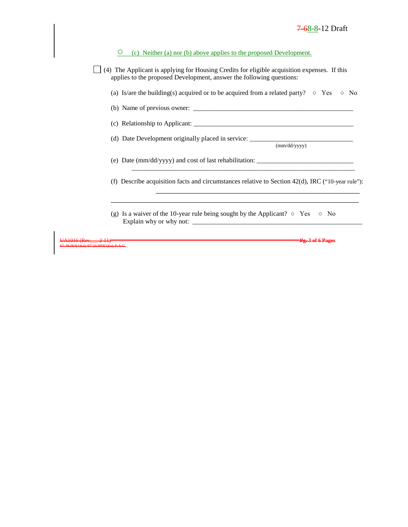|  |  |  |  |  | $\circ$ (c) Neither (a) nor (b) above applies to the proposed Development. |
|--|--|--|--|--|----------------------------------------------------------------------------|
|  |  |  |  |  |                                                                            |

(4) The Applicant is applying for Housing Credits for eligible acquisition expenses*.* If this applies to the proposed Development, answer the following questions:

(a) Is/are the building(s) acquired or to be acquired from a related party?  $\circ$  Yes  $\circ$  No

- (b) Name of previous owner:  $\frac{1}{\sqrt{2}}$
- (c) Relationship to Applicant: \_\_\_\_\_\_\_\_\_\_\_\_\_\_\_\_\_\_\_\_\_\_\_\_\_\_\_\_\_\_\_\_\_\_\_\_\_\_\_\_\_\_\_\_\_\_\_\_
- (d) Date Development originally placed in service: \_\_\_\_\_\_\_\_\_\_\_\_\_\_\_\_\_\_\_\_\_\_\_\_\_\_\_\_\_\_

(mm/dd/yyyy)

(e) Date (mm/dd/yyyy) and cost of last rehabilitation: \_\_\_\_\_\_\_\_\_\_\_\_\_\_\_\_\_\_\_\_\_\_\_\_\_\_\_\_\_

(f) Describe acquisition facts and circumstances relative to Section 42(d), IRC ("10-year rule"):

\_\_\_\_\_\_\_\_\_\_\_\_\_\_\_\_\_\_\_\_\_\_\_\_\_\_\_\_\_\_\_\_\_\_\_\_\_\_\_\_\_\_\_\_\_\_\_\_\_\_\_\_\_\_\_\_\_\_\_\_\_\_

\_\_\_\_\_\_\_\_\_\_\_\_\_\_\_\_\_\_\_\_\_\_\_\_\_\_\_\_\_\_\_\_\_\_\_\_\_\_\_\_\_\_\_\_\_\_\_\_\_\_\_\_\_\_\_\_\_\_\_\_\_\_\_\_\_\_\_

\_\_\_\_\_\_\_\_\_\_\_\_\_\_\_\_\_\_\_\_\_\_\_\_\_\_\_\_\_\_\_\_\_\_\_\_\_\_\_\_\_\_\_\_\_\_\_\_\_\_\_

(g) Is a waiver of the 10-year rule being sought by the Applicant?  $\circ$  Yes  $\circ$  No Explain why or why not: \_\_\_\_\_\_\_\_\_\_\_\_\_\_\_\_\_\_\_\_\_\_\_\_\_\_\_\_\_\_\_\_\_\_\_\_\_\_\_\_\_\_\_\_\_\_\_\_\_\_\_

67-48.004(1)(a); 67-21.003(1)(a), F.A.C.

UA1016 (Rev\_\_\_ 2-11) **Pg. 3 of 6 Pages**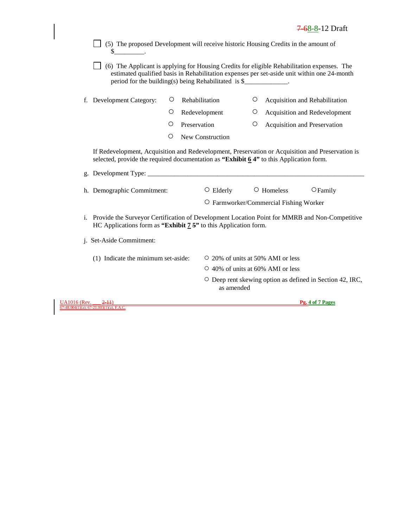$\Box$  (5) The proposed Development will receive historic Housing Credits in the amount of  $\mathsf{S}\_$ 

(6) The Applicant is applying for Housing Credits for eligible Rehabilitation expenses. The estimated qualified basis in Rehabilitation expenses per set-aside unit within one 24-month period for the building(s) being Rehabilitated is  $\$ 

|  | f. Development Category: |  | $\circ$ Rehabilitation |  |  | O Acquisition and Rehabilitation |
|--|--------------------------|--|------------------------|--|--|----------------------------------|
|--|--------------------------|--|------------------------|--|--|----------------------------------|

- O Redevelopment O Acquisition and Redevelopment
- O Preservation <sup>O</sup> Acquisition and Preservation
- New Construction

If Redevelopment, Acquisition and Redevelopment, Preservation or Acquisition and Preservation is selected, provide the required documentation as **"Exhibit 6 4"** to this Application form.

| g. Development Type:                                                                                                                                                   |                                              |            |                   |
|------------------------------------------------------------------------------------------------------------------------------------------------------------------------|----------------------------------------------|------------|-------------------|
|                                                                                                                                                                        |                                              |            |                   |
| h. Demographic Commitment:                                                                                                                                             | $\circ$ Elderly                              | O Homeless | $\bigcirc$ Family |
|                                                                                                                                                                        | $\circ$ Farmworker/Commercial Fishing Worker |            |                   |
| i. Provide the Surveyor Certification of Development Location Point for MMRB and Non-Competitive<br>HC Applications form as "Exhibit $7.5$ " to this Application form. |                                              |            |                   |

j. Set-Aside Commitment:

| (1) Indicate the minimum set-aside: | $\circ$ 20% of units at 50% AMI or less                                       |
|-------------------------------------|-------------------------------------------------------------------------------|
|                                     | $\circ$ 40% of units at 60% AMI or less                                       |
|                                     | $\circ$ Deep rent skewing option as defined in Section 42, IRC,<br>as amended |
|                                     |                                                                               |

UA1016 (Rev. \_\_\_ 2-11) **Pg. 4 of 7 Pages** 67-48.004(1)(a); 67-21.003(1)(a), F.A.C.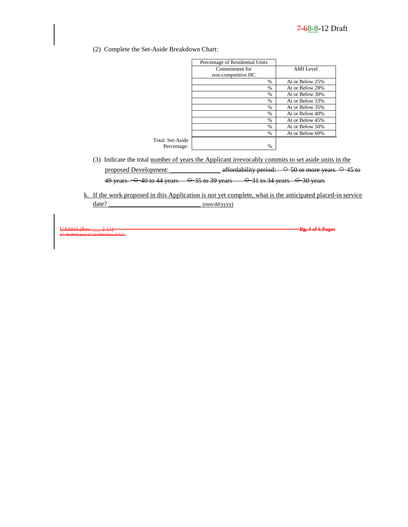(2) Complete the Set-Aside Breakdown Chart:

|                 | Percentage of Residential Units |                 |
|-----------------|---------------------------------|-----------------|
|                 | Commitment for                  | AMI Level       |
|                 | non-competitive HC              |                 |
|                 | $\%$                            | At or Below 25% |
|                 | %                               | At or Below 28% |
|                 | $\frac{0}{0}$                   | At or Below 30% |
|                 | $\%$                            | At or Below 33% |
|                 | %                               | At or Below 35% |
|                 | $\%$                            | At or Below 40% |
|                 | $\%$                            | At or Below 45% |
|                 | $\frac{0}{0}$                   | At or Below 50% |
|                 | %                               | At or Below 60% |
| Total Set-Aside |                                 |                 |
| Percentage:     | $\%$                            |                 |

(3) Indicate the total number of years the Applicant irrevocably commits to set aside units in the proposed Development: \_\_\_\_\_\_\_\_\_\_\_\_\_\_\_\_\_\_\_ affordability period:  $\sim$  0 - 50 or more years  $\sim$  -45 to 49 years  $-$  0 40 to 44 years  $-$  0 35 to 39 years  $-$  0 31 to 34 years  $-$  0 30 years

k. If the work proposed in this Application is not yet complete, what is the anticipated placed-in service date? \_\_\_\_\_\_\_\_\_\_\_\_\_\_\_\_\_\_\_\_\_\_\_ (mm/dd/yyyy)

67-48.004(1)(a); 67-21.003(1)(a), F.A.C.

UA1016 (Rev. \_\_\_ 2-11) **Pg. 4 of 6 Pages**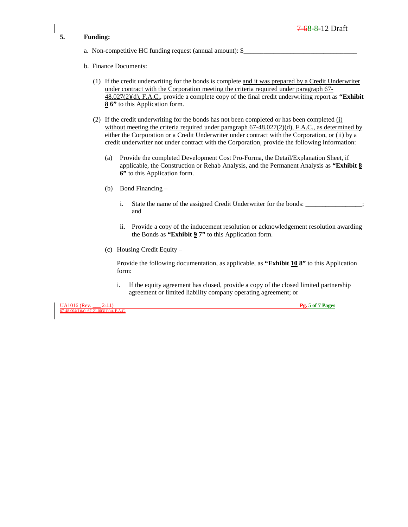### **5. Funding:**

- a. Non-competitive HC funding request (annual amount): \$
- b. Finance Documents:
	- (1) If the credit underwriting for the bonds is complete and it was prepared by a Credit Underwriter under contract with the Corporation meeting the criteria required under paragraph 67- 48.027(2)(d), F.A.C., provide a complete copy of the final credit underwriting report as **"Exhibit 8 6"** to this Application form.
	- (2) If the credit underwriting for the bonds has not been completed or has been completed  $(i)$ without meeting the criteria required under paragraph  $67-48.027(2)(d)$ , F.A.C., as determined by either the Corporation or a Credit Underwriter under contract with the Corporation, or (ii) by a credit underwriter not under contract with the Corporation, provide the following information:
		- (a) Provide the completed Development Cost Pro-Forma, the Detail/Explanation Sheet, if applicable, the Construction or Rehab Analysis, and the Permanent Analysis as **"Exhibit 8 6"** to this Application form.
		- (b) Bond Financing
			- i. State the name of the assigned Credit Underwriter for the bonds: and
			- ii. Provide a copy of the inducement resolution or acknowledgement resolution awarding the Bonds as "Exhibit  $9$  <sup>7</sup>" to this Application form.
		- (c) Housing Credit Equity –

Provide the following documentation, as applicable, as **"Exhibit 10 8"** to this Application form:

i. If the equity agreement has closed, provide a copy of the closed limited partnership agreement or limited liability company operating agreement; or

UA1016 (Rev. \_\_\_ 2-11) **Pg. 5 of 7 Pages** 67-48.004(1)(a); 67-21.003(1)(a), F.A.C.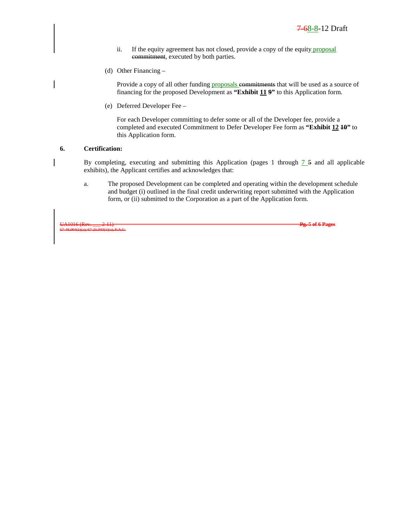- ii. If the equity agreement has not closed, provide a copy of the equity **proposal** commitment, executed by both parties.
- (d) Other Financing –

Provide a copy of all other funding proposals commitments that will be used as a source of financing for the proposed Development as **"Exhibit 11 9"** to this Application form.

(e) Deferred Developer Fee –

For each Developer committing to defer some or all of the Developer fee, provide a completed and executed Commitment to Defer Developer Fee form as **"Exhibit 12 10"** to this Application form.

#### **6. Certification:**

By completing, executing and submitting this Application (pages 1 through  $\frac{7}{5}$  and all applicable exhibits), the Applicant certifies and acknowledges that:

a. The proposed Development can be completed and operating within the development schedule and budget (i) outlined in the final credit underwriting report submitted with the Application form, or (ii) submitted to the Corporation as a part of the Application form.

67-48.004(1)(a); 67-21.003(1)(a), F.A.C.

UA1016 (Rev. \_\_\_ 2-11) **Pg. 5 of 6 Pages**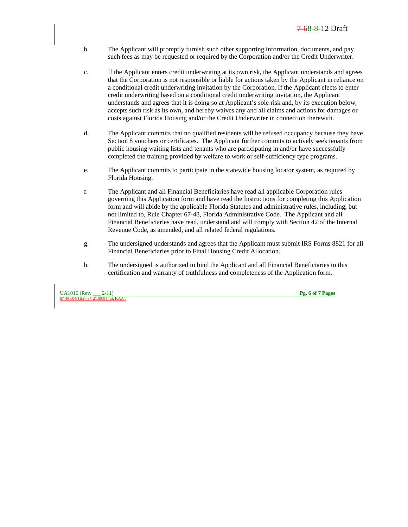- b. The Applicant will promptly furnish such other supporting information, documents, and pay such fees as may be requested or required by the Corporation and/or the Credit Underwriter.
- c. If the Applicant enters credit underwriting at its own risk, the Applicant understands and agrees that the Corporation is not responsible or liable for actions taken by the Applicant in reliance on a conditional credit underwriting invitation by the Corporation. If the Applicant elects to enter credit underwriting based on a conditional credit underwriting invitation, the Applicant understands and agrees that it is doing so at Applicant's sole risk and, by its execution below, accepts such risk as its own, and hereby waives any and all claims and actions for damages or costs against Florida Housing and/or the Credit Underwriter in connection therewith.
- d. The Applicant commits that no qualified residents will be refused occupancy because they have Section 8 vouchers or certificates. The Applicant further commits to actively seek tenants from public housing waiting lists and tenants who are participating in and/or have successfully completed the training provided by welfare to work or self-sufficiency type programs.
- e. The Applicant commits to participate in the statewide housing locator system, as required by Florida Housing.
- f. The Applicant and all Financial Beneficiaries have read all applicable Corporation rules governing this Application form and have read the Instructions for completing this Application form and will abide by the applicable Florida Statutes and administrative rules, including, but not limited to, Rule Chapter 67-48, Florida Administrative Code. The Applicant and all Financial Beneficiaries have read, understand and will comply with Section 42 of the Internal Revenue Code, as amended, and all related federal regulations.
- g. The undersigned understands and agrees that the Applicant must submit IRS Forms 8821 for all Financial Beneficiaries prior to Final Housing Credit Allocation.
- h. The undersigned is authorized to bind the Applicant and all Financial Beneficiaries to this certification and warranty of truthfulness and completeness of the Application form.

UA1016 (Rev. \_\_\_ 2-11) **Pg. 6 of 7 Pages** 67-48.004(1)(a); 67-21.003(1)(a), F.A.C.